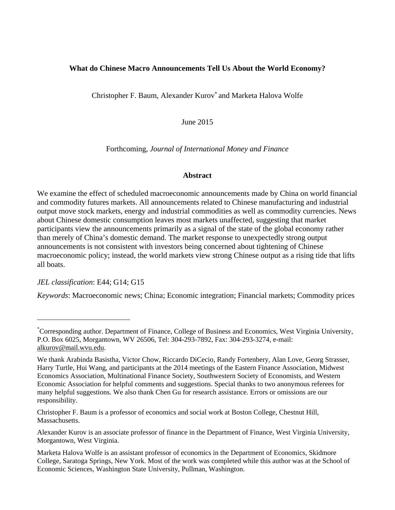# **What do Chinese Macro Announcements Tell Us About the World Economy?**

Christopher F. Baum, Alexander Kurov<sup>\*</sup> and Marketa Halova Wolfe

June 2015

Forthcoming, *Journal of International Money and Finance*

# **Abstract**

We examine the effect of scheduled macroeconomic announcements made by China on world financial and commodity futures markets. All announcements related to Chinese manufacturing and industrial output move stock markets, energy and industrial commodities as well as commodity currencies. News about Chinese domestic consumption leaves most markets unaffected, suggesting that market participants view the announcements primarily as a signal of the state of the global economy rather than merely of China's domestic demand. The market response to unexpectedly strong output announcements is not consistent with investors being concerned about tightening of Chinese macroeconomic policy; instead, the world markets view strong Chinese output as a rising tide that lifts all boats.

# *JEL classification*: E44; G14; G15

 $\overline{a}$ 

*Keywords*: Macroeconomic news; China; Economic integration; Financial markets; Commodity prices

<sup>\*</sup> Corresponding author. Department of Finance, College of Business and Economics, West Virginia University, P.O. Box 6025, Morgantown, WV 26506, Tel: 304-293-7892, Fax: 304-293-3274, e-mail: alkurov@mail.wvu.edu.

We thank Arabinda Basistha, Victor Chow, Riccardo DiCecio, Randy Fortenbery, Alan Love, Georg Strasser, Harry Turtle, Hui Wang, and participants at the 2014 meetings of the Eastern Finance Association, Midwest Economics Association, Multinational Finance Society, Southwestern Society of Economists, and Western Economic Association for helpful comments and suggestions. Special thanks to two anonymous referees for many helpful suggestions. We also thank Chen Gu for research assistance. Errors or omissions are our responsibility.

Christopher F. Baum is a professor of economics and social work at Boston College, Chestnut Hill, Massachusetts.

Alexander Kurov is an associate professor of finance in the Department of Finance, West Virginia University, Morgantown, West Virginia.

Marketa Halova Wolfe is an assistant professor of economics in the Department of Economics, Skidmore College, Saratoga Springs, New York. Most of the work was completed while this author was at the School of Economic Sciences, Washington State University, Pullman, Washington.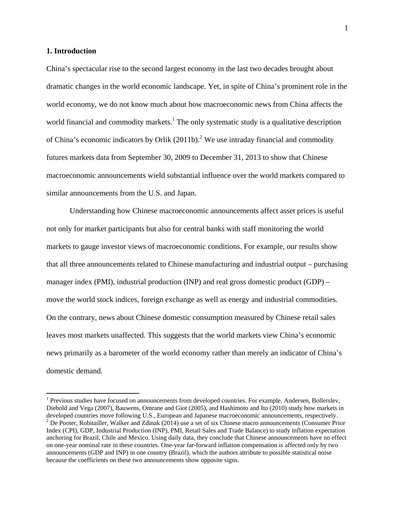### **1. Introduction**

1

China's spectacular rise to the second largest economy in the last two decades brought about dramatic changes in the world economic landscape. Yet, in spite of China's prominent role in the world economy, we do not know much about how macroeconomic news from China affects the world financial and commodity markets.<sup>1</sup> The only systematic study is a qualitative description of China's economic indicators by Orlik  $(2011b)$ .<sup>2</sup> We use intraday financial and commodity futures markets data from September 30, 2009 to December 31, 2013 to show that Chinese macroeconomic announcements wield substantial influence over the world markets compared to similar announcements from the U.S. and Japan.

Understanding how Chinese macroeconomic announcements affect asset prices is useful not only for market participants but also for central banks with staff monitoring the world markets to gauge investor views of macroeconomic conditions. For example, our results show that all three announcements related to Chinese manufacturing and industrial output – purchasing manager index (PMI), industrial production (INP) and real gross domestic product (GDP) – move the world stock indices, foreign exchange as well as energy and industrial commodities. On the contrary, news about Chinese domestic consumption measured by Chinese retail sales leaves most markets unaffected. This suggests that the world markets view China's economic news primarily as a barometer of the world economy rather than merely an indicator of China's domestic demand.

<sup>&</sup>lt;sup>1</sup> Previous studies have focused on announcements from developed countries. For example, Andersen, Bollerslev, Diebold and Vega (2007), Bauwens, Omrane and Giot (2005), and Hashimoto and Ito (2010) study how markets in developed countries move following U.S., European and Japanese macroeconomic announcements, respectively. <sup>2</sup> De Pooter, Robitailler, Walker and Zdinak (2014) use a set of six Chinese macro announcements (Consumer Price Index (CPI), GDP, Industrial Production (INP), PMI, Retail Sales and Trade Balance) to study inflation expectation anchoring for Brazil, Chile and Mexico. Using daily data, they conclude that Chinese announcements have no effect on one-year nominal rate in these countries. One-year far-forward inflation compensation is affected only by two announcements (GDP and INP) in one country (Brazil), which the authors attribute to possible statistical noise because the coefficients on these two announcements show opposite signs.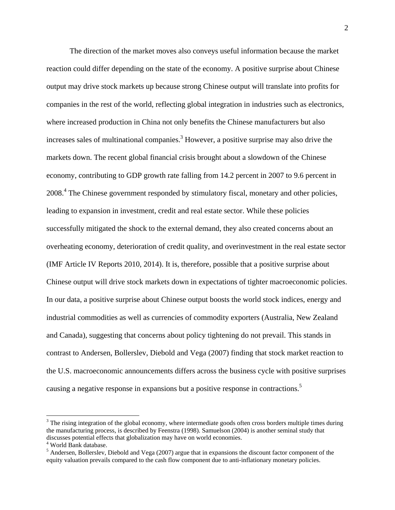The direction of the market moves also conveys useful information because the market reaction could differ depending on the state of the economy. A positive surprise about Chinese output may drive stock markets up because strong Chinese output will translate into profits for companies in the rest of the world, reflecting global integration in industries such as electronics, where increased production in China not only benefits the Chinese manufacturers but also increases sales of multinational companies.<sup>3</sup> However, a positive surprise may also drive the markets down. The recent global financial crisis brought about a slowdown of the Chinese economy, contributing to GDP growth rate falling from 14.2 percent in 2007 to 9.6 percent in 2008.<sup>4</sup> The Chinese government responded by stimulatory fiscal, monetary and other policies, leading to expansion in investment, credit and real estate sector. While these policies successfully mitigated the shock to the external demand, they also created concerns about an overheating economy, deterioration of credit quality, and overinvestment in the real estate sector (IMF Article IV Reports 2010, 2014). It is, therefore, possible that a positive surprise about Chinese output will drive stock markets down in expectations of tighter macroeconomic policies. In our data, a positive surprise about Chinese output boosts the world stock indices, energy and industrial commodities as well as currencies of commodity exporters (Australia, New Zealand and Canada), suggesting that concerns about policy tightening do not prevail. This stands in contrast to Andersen, Bollerslev, Diebold and Vega (2007) finding that stock market reaction to the U.S. macroeconomic announcements differs across the business cycle with positive surprises causing a negative response in expansions but a positive response in contractions.<sup>5</sup>

1

 $3$  The rising integration of the global economy, where intermediate goods often cross borders multiple times during the manufacturing process, is described by Feenstra (1998). Samuelson (2004) is another seminal study that discusses potential effects that globalization may have on world economies.

<sup>4</sup> World Bank database.

<sup>&</sup>lt;sup>5</sup> Andersen, Bollerslev, Diebold and Vega (2007) argue that in expansions the discount factor component of the equity valuation prevails compared to the cash flow component due to anti-inflationary monetary policies.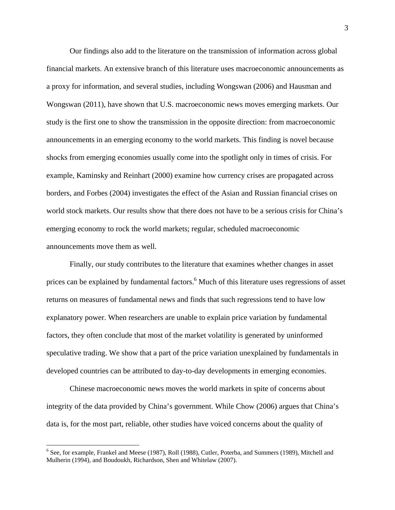Our findings also add to the literature on the transmission of information across global financial markets. An extensive branch of this literature uses macroeconomic announcements as a proxy for information, and several studies, including Wongswan (2006) and Hausman and Wongswan (2011), have shown that U.S. macroeconomic news moves emerging markets. Our study is the first one to show the transmission in the opposite direction: from macroeconomic announcements in an emerging economy to the world markets. This finding is novel because shocks from emerging economies usually come into the spotlight only in times of crisis. For example, Kaminsky and Reinhart (2000) examine how currency crises are propagated across borders, and Forbes (2004) investigates the effect of the Asian and Russian financial crises on world stock markets. Our results show that there does not have to be a serious crisis for China's emerging economy to rock the world markets; regular, scheduled macroeconomic announcements move them as well.

Finally, our study contributes to the literature that examines whether changes in asset prices can be explained by fundamental factors.<sup>6</sup> Much of this literature uses regressions of asset returns on measures of fundamental news and finds that such regressions tend to have low explanatory power. When researchers are unable to explain price variation by fundamental factors, they often conclude that most of the market volatility is generated by uninformed speculative trading. We show that a part of the price variation unexplained by fundamentals in developed countries can be attributed to day-to-day developments in emerging economies.

Chinese macroeconomic news moves the world markets in spite of concerns about integrity of the data provided by China's government. While Chow (2006) argues that China's data is, for the most part, reliable, other studies have voiced concerns about the quality of

 $\overline{a}$ 

<sup>&</sup>lt;sup>6</sup> See, for example, Frankel and Meese (1987), Roll (1988), Cutler, Poterba, and Summers (1989), Mitchell and Mulherin (1994), and Boudoukh, Richardson, Shen and Whitelaw (2007).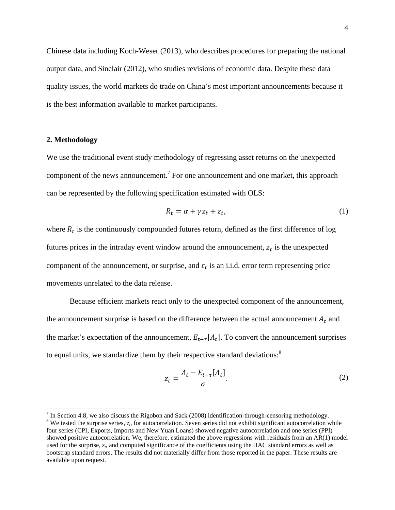Chinese data including Koch-Weser (2013), who describes procedures for preparing the national output data, and Sinclair (2012), who studies revisions of economic data. Despite these data quality issues, the world markets do trade on China's most important announcements because it is the best information available to market participants.

# **2. Methodology**

 $\overline{a}$ 

We use the traditional event study methodology of regressing asset returns on the unexpected component of the news announcement.<sup>7</sup> For one announcement and one market, this approach can be represented by the following specification estimated with OLS:

$$
R_t = \alpha + \gamma z_t + \varepsilon_t, \tag{1}
$$

where  $R_t$  is the continuously compounded futures return, defined as the first difference of log futures prices in the intraday event window around the announcement,  $z_t$  is the unexpected component of the announcement, or surprise, and  $\varepsilon_t$  is an i.i.d. error term representing price movements unrelated to the data release.

 Because efficient markets react only to the unexpected component of the announcement, the announcement surprise is based on the difference between the actual announcement  $A_t$  and the market's expectation of the announcement,  $E_{t-\tau}[A_t]$ . To convert the announcement surprises to equal units, we standardize them by their respective standard deviations: $^8$ 

$$
z_t = \frac{A_t - E_{t-\tau}[A_t]}{\sigma}.
$$
 (2)

In Section 4.8, we also discuss the Rigobon and Sack (2008) identification-through-censoring methodology.<br><sup>8</sup> We total the surprise series  $\tau$ , for sutcographical Saven series did not orbibit significant autocographical <sup>8</sup> We tested the surprise series,  $z_t$ , for autocorrelation. Seven series did not exhibit significant autocorrelation while four series (CPI, Exports, Imports and New Yuan Loans) showed negative autocorrelation and one series (PPI) showed positive autocorrelation. We, therefore, estimated the above regressions with residuals from an AR(1) model used for the surprise, *z<sub>t</sub>*, and computed significance of the coefficients using the HAC standard errors as well as bootstrap standard errors. The results did not materially differ from those reported in the paper. These results are available upon request.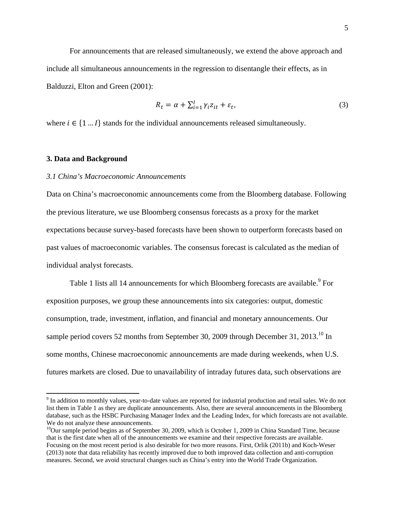For announcements that are released simultaneously, we extend the above approach and include all simultaneous announcements in the regression to disentangle their effects, as in Balduzzi, Elton and Green (2001):

$$
R_t = \alpha + \sum_{i=1}^{I} \gamma_i z_{it} + \varepsilon_t,\tag{3}
$$

where  $i \in \{1...I\}$  stands for the individual announcements released simultaneously.

## **3. Data and Background**

1

# *3.1 China's Macroeconomic Announcements*

Data on China's macroeconomic announcements come from the Bloomberg database. Following the previous literature, we use Bloomberg consensus forecasts as a proxy for the market expectations because survey-based forecasts have been shown to outperform forecasts based on past values of macroeconomic variables. The consensus forecast is calculated as the median of individual analyst forecasts.

Table 1 lists all 14 announcements for which Bloomberg forecasts are available.<sup>9</sup> For exposition purposes, we group these announcements into six categories: output, domestic consumption, trade, investment, inflation, and financial and monetary announcements. Our sample period covers 52 months from September 30, 2009 through December 31, 2013.<sup>10</sup> In some months, Chinese macroeconomic announcements are made during weekends, when U.S. futures markets are closed. Due to unavailability of intraday futures data, such observations are

 $9$  In addition to monthly values, year-to-date values are reported for industrial production and retail sales. We do not list them in Table 1 as they are duplicate announcements. Also, there are several announcements in the Bloomberg database, such as the HSBC Purchasing Manager Index and the Leading Index, for which forecasts are not available. We do not analyze these announcements.

<sup>&</sup>lt;sup>10</sup>Our sample period begins as of September 30, 2009, which is October 1, 2009 in China Standard Time, because that is the first date when all of the announcements we examine and their respective forecasts are available. Focusing on the most recent period is also desirable for two more reasons. First, Orlik (2011b) and Koch-Weser (2013) note that data reliability has recently improved due to both improved data collection and anti-corruption measures. Second, we avoid structural changes such as China's entry into the World Trade Organization.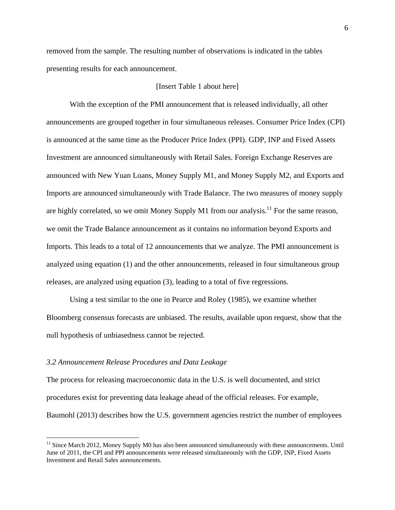removed from the sample. The resulting number of observations is indicated in the tables presenting results for each announcement.

## [Insert Table 1 about here]

With the exception of the PMI announcement that is released individually, all other announcements are grouped together in four simultaneous releases. Consumer Price Index (CPI) is announced at the same time as the Producer Price Index (PPI). GDP, INP and Fixed Assets Investment are announced simultaneously with Retail Sales. Foreign Exchange Reserves are announced with New Yuan Loans, Money Supply M1, and Money Supply M2, and Exports and Imports are announced simultaneously with Trade Balance. The two measures of money supply are highly correlated, so we omit Money Supply M1 from our analysis.<sup>11</sup> For the same reason, we omit the Trade Balance announcement as it contains no information beyond Exports and Imports. This leads to a total of 12 announcements that we analyze. The PMI announcement is analyzed using equation (1) and the other announcements, released in four simultaneous group releases, are analyzed using equation (3), leading to a total of five regressions.

Using a test similar to the one in Pearce and Roley (1985), we examine whether Bloomberg consensus forecasts are unbiased. The results, available upon request, show that the null hypothesis of unbiasedness cannot be rejected.

# *3.2 Announcement Release Procedures and Data Leakage*

1

The process for releasing macroeconomic data in the U.S. is well documented, and strict procedures exist for preventing data leakage ahead of the official releases. For example, Baumohl (2013) describes how the U.S. government agencies restrict the number of employees

<sup>&</sup>lt;sup>11</sup> Since March 2012, Money Supply M0 has also been announced simultaneously with these announcements. Until June of 2011, the CPI and PPI announcements were released simultaneously with the GDP, INP, Fixed Assets Investment and Retail Sales announcements.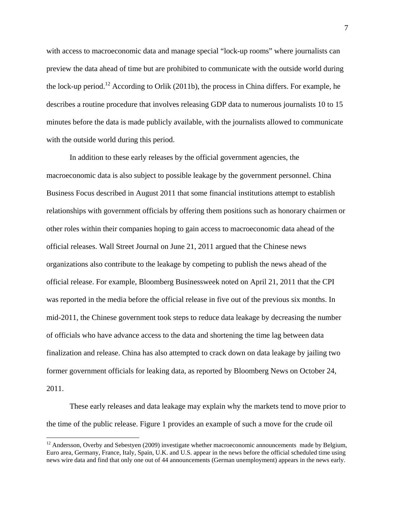with access to macroeconomic data and manage special "lock-up rooms" where journalists can preview the data ahead of time but are prohibited to communicate with the outside world during the lock-up period.<sup>12</sup> According to Orlik (2011b), the process in China differs. For example, he describes a routine procedure that involves releasing GDP data to numerous journalists 10 to 15 minutes before the data is made publicly available, with the journalists allowed to communicate with the outside world during this period.

In addition to these early releases by the official government agencies, the macroeconomic data is also subject to possible leakage by the government personnel. China Business Focus described in August 2011 that some financial institutions attempt to establish relationships with government officials by offering them positions such as honorary chairmen or other roles within their companies hoping to gain access to macroeconomic data ahead of the official releases. Wall Street Journal on June 21, 2011 argued that the Chinese news organizations also contribute to the leakage by competing to publish the news ahead of the official release. For example, Bloomberg Businessweek noted on April 21, 2011 that the CPI was reported in the media before the official release in five out of the previous six months. In mid-2011, the Chinese government took steps to reduce data leakage by decreasing the number of officials who have advance access to the data and shortening the time lag between data finalization and release. China has also attempted to crack down on data leakage by jailing two former government officials for leaking data, as reported by Bloomberg News on October 24, 2011.

These early releases and data leakage may explain why the markets tend to move prior to the time of the public release. Figure 1 provides an example of such a move for the crude oil

 $\overline{a}$ 

<sup>&</sup>lt;sup>12</sup> Andersson, Overby and Sebestyen (2009) investigate whether macroeconomic announcements made by Belgium, Euro area, Germany, France, Italy, Spain, U.K. and U.S. appear in the news before the official scheduled time using news wire data and find that only one out of 44 announcements (German unemployment) appears in the news early.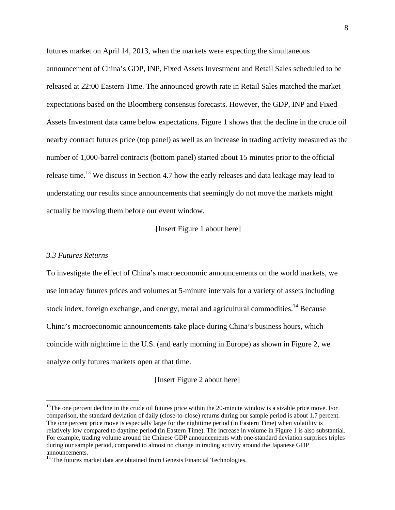futures market on April 14, 2013, when the markets were expecting the simultaneous announcement of China's GDP, INP, Fixed Assets Investment and Retail Sales scheduled to be released at 22:00 Eastern Time. The announced growth rate in Retail Sales matched the market expectations based on the Bloomberg consensus forecasts. However, the GDP, INP and Fixed Assets Investment data came below expectations. Figure 1 shows that the decline in the crude oil nearby contract futures price (top panel) as well as an increase in trading activity measured as the number of 1,000-barrel contracts (bottom panel) started about 15 minutes prior to the official release time.<sup>13</sup> We discuss in Section 4.7 how the early releases and data leakage may lead to understating our results since announcements that seemingly do not move the markets might actually be moving them before our event window.

[Insert Figure 1 about here]

#### *3.3 Futures Returns*

 $\overline{a}$ 

To investigate the effect of China's macroeconomic announcements on the world markets, we use intraday futures prices and volumes at 5-minute intervals for a variety of assets including stock index, foreign exchange, and energy, metal and agricultural commodities.<sup>14</sup> Because China's macroeconomic announcements take place during China's business hours, which coincide with nighttime in the U.S. (and early morning in Europe) as shown in Figure 2, we analyze only futures markets open at that time.

[Insert Figure 2 about here]

 $13$ The one percent decline in the crude oil futures price within the 20-minute window is a sizable price move. For comparison, the standard deviation of daily (close-to-close) returns during our sample period is about 1.7 percent. The one percent price move is especially large for the nighttime period (in Eastern Time) when volatility is relatively low compared to daytime period (in Eastern Time). The increase in volume in Figure 1 is also substantial. For example, trading volume around the Chinese GDP announcements with one-standard deviation surprises triples during our sample period, compared to almost no change in trading activity around the Japanese GDP announcements.

 $14$  The futures market data are obtained from Genesis Financial Technologies.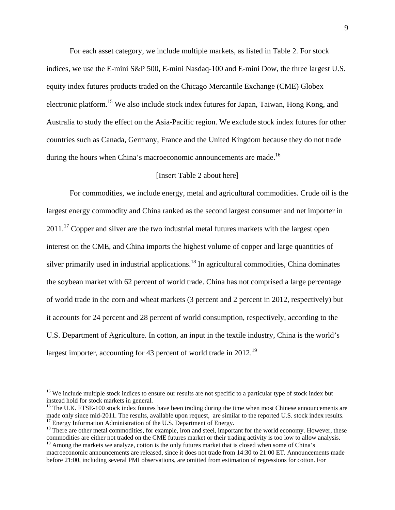For each asset category, we include multiple markets, as listed in Table 2. For stock indices, we use the E-mini S&P 500, E-mini Nasdaq-100 and E-mini Dow, the three largest U.S. equity index futures products traded on the Chicago Mercantile Exchange (CME) Globex electronic platform.<sup>15</sup> We also include stock index futures for Japan, Taiwan, Hong Kong, and Australia to study the effect on the Asia-Pacific region. We exclude stock index futures for other countries such as Canada, Germany, France and the United Kingdom because they do not trade during the hours when China's macroeconomic announcements are made.<sup>16</sup>

#### [Insert Table 2 about here]

For commodities, we include energy, metal and agricultural commodities. Crude oil is the largest energy commodity and China ranked as the second largest consumer and net importer in  $2011$ <sup>17</sup> Copper and silver are the two industrial metal futures markets with the largest open interest on the CME, and China imports the highest volume of copper and large quantities of silver primarily used in industrial applications.<sup>18</sup> In agricultural commodities, China dominates the soybean market with 62 percent of world trade. China has not comprised a large percentage of world trade in the corn and wheat markets (3 percent and 2 percent in 2012, respectively) but it accounts for 24 percent and 28 percent of world consumption, respectively, according to the U.S. Department of Agriculture. In cotton, an input in the textile industry, China is the world's largest importer, accounting for 43 percent of world trade in 2012.<sup>19</sup>

1

 $15$  We include multiple stock indices to ensure our results are not specific to a particular type of stock index but instead hold for stock markets in general.

<sup>&</sup>lt;sup>16</sup> The U.K. FTSE-100 stock index futures have been trading during the time when most Chinese announcements are made only since mid-2011. The results, available upon request, are similar to the reported U.S. stock index results. <sup>17</sup> Energy Information Administration of the U.S. Department of Energy.

<sup>&</sup>lt;sup>18</sup> There are other metal commodities, for example, iron and steel, important for the world economy. However, these commodities are either not traded on the CME futures market or their trading activity is too low to allow analysis. <sup>19</sup> Among the markets we analyze, cotton is the only futures market that is closed when some of China's

macroeconomic announcements are released, since it does not trade from 14:30 to 21:00 ET. Announcements made before 21:00, including several PMI observations, are omitted from estimation of regressions for cotton. For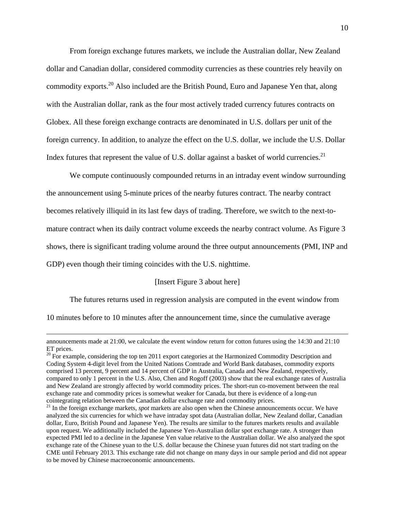From foreign exchange futures markets, we include the Australian dollar, New Zealand dollar and Canadian dollar, considered commodity currencies as these countries rely heavily on commodity exports.<sup>20</sup> Also included are the British Pound, Euro and Japanese Yen that, along with the Australian dollar, rank as the four most actively traded currency futures contracts on Globex. All these foreign exchange contracts are denominated in U.S. dollars per unit of the foreign currency. In addition, to analyze the effect on the U.S. dollar, we include the U.S. Dollar Index futures that represent the value of U.S. dollar against a basket of world currencies.<sup>21</sup>

We compute continuously compounded returns in an intraday event window surrounding the announcement using 5-minute prices of the nearby futures contract. The nearby contract becomes relatively illiquid in its last few days of trading. Therefore, we switch to the next-tomature contract when its daily contract volume exceeds the nearby contract volume. As Figure 3 shows, there is significant trading volume around the three output announcements (PMI, INP and GDP) even though their timing coincides with the U.S. nighttime.

[Insert Figure 3 about here]

The futures returns used in regression analysis are computed in the event window from

10 minutes before to 10 minutes after the announcement time, since the cumulative average

announcements made at 21:00, we calculate the event window return for cotton futures using the 14:30 and 21:10 ET prices.

 $20$  For example, considering the top ten 2011 export categories at the Harmonized Commodity Description and Coding System 4-digit level from the United Nations Comtrade and World Bank databases, commodity exports comprised 13 percent, 9 percent and 14 percent of GDP in Australia, Canada and New Zealand, respectively, compared to only 1 percent in the U.S. Also, Chen and Rogoff (2003) show that the real exchange rates of Australia and New Zealand are strongly affected by world commodity prices. The short-run co-movement between the real exchange rate and commodity prices is somewhat weaker for Canada, but there is evidence of a long-run cointegrating relation between the Canadian dollar exchange rate and commodity prices. 21 In the foreign exchange markets, *spot* markets are also open when the Chinese announcements occur. We have

analyzed the six currencies for which we have intraday spot data (Australian dollar, New Zealand dollar, Canadian dollar, Euro, British Pound and Japanese Yen). The results are similar to the futures markets results and available upon request. We additionally included the Japanese Yen-Australian dollar spot exchange rate. A stronger than expected PMI led to a decline in the Japanese Yen value relative to the Australian dollar. We also analyzed the spot exchange rate of the Chinese yuan to the U.S. dollar because the Chinese yuan futures did not start trading on the CME until February 2013. This exchange rate did not change on many days in our sample period and did not appear to be moved by Chinese macroeconomic announcements.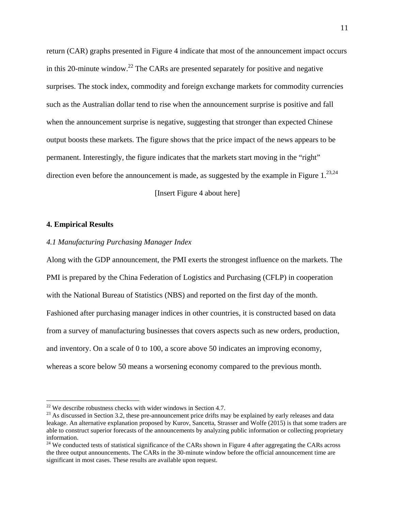return (CAR) graphs presented in Figure 4 indicate that most of the announcement impact occurs in this 20-minute window.<sup>22</sup> The CARs are presented separately for positive and negative surprises. The stock index, commodity and foreign exchange markets for commodity currencies such as the Australian dollar tend to rise when the announcement surprise is positive and fall when the announcement surprise is negative, suggesting that stronger than expected Chinese output boosts these markets. The figure shows that the price impact of the news appears to be permanent. Interestingly, the figure indicates that the markets start moving in the "right" direction even before the announcement is made, as suggested by the example in Figure  $1.^{23,24}$ 

[Insert Figure 4 about here]

#### **4. Empirical Results**

 $\overline{a}$ 

# *4.1 Manufacturing Purchasing Manager Index*

Along with the GDP announcement, the PMI exerts the strongest influence on the markets. The PMI is prepared by the China Federation of Logistics and Purchasing (CFLP) in cooperation with the National Bureau of Statistics (NBS) and reported on the first day of the month. Fashioned after purchasing manager indices in other countries, it is constructed based on data from a survey of manufacturing businesses that covers aspects such as new orders, production, and inventory. On a scale of 0 to 100, a score above 50 indicates an improving economy, whereas a score below 50 means a worsening economy compared to the previous month.

 $22$  We describe robustness checks with wider windows in Section 4.7.

<sup>&</sup>lt;sup>23</sup> As discussed in Section 3.2, these pre-announcement price drifts may be explained by early releases and data leakage. An alternative explanation proposed by Kurov, Sancetta, Strasser and Wolfe (2015) is that some traders are able to construct superior forecasts of the announcements by analyzing public information or collecting proprietary information.

 $24$  We conducted tests of statistical significance of the CARs shown in Figure 4 after aggregating the CARs across the three output announcements. The CARs in the 30-minute window before the official announcement time are significant in most cases. These results are available upon request.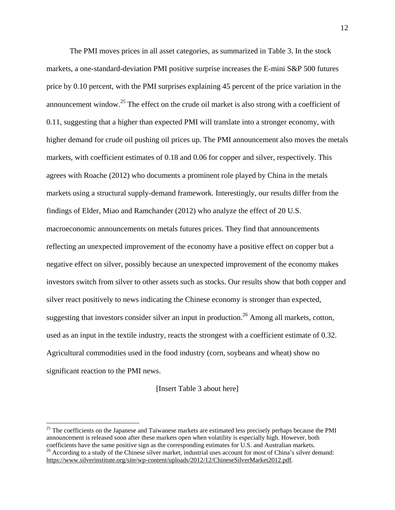The PMI moves prices in all asset categories, as summarized in Table 3. In the stock markets, a one-standard-deviation PMI positive surprise increases the E-mini S&P 500 futures price by 0.10 percent, with the PMI surprises explaining 45 percent of the price variation in the announcement window.25 The effect on the crude oil market is also strong with a coefficient of 0.11, suggesting that a higher than expected PMI will translate into a stronger economy, with higher demand for crude oil pushing oil prices up. The PMI announcement also moves the metals markets, with coefficient estimates of 0.18 and 0.06 for copper and silver, respectively. This agrees with Roache (2012) who documents a prominent role played by China in the metals markets using a structural supply-demand framework. Interestingly, our results differ from the findings of Elder, Miao and Ramchander (2012) who analyze the effect of 20 U.S. macroeconomic announcements on metals futures prices. They find that announcements reflecting an unexpected improvement of the economy have a positive effect on copper but a negative effect on silver, possibly because an unexpected improvement of the economy makes investors switch from silver to other assets such as stocks. Our results show that both copper and silver react positively to news indicating the Chinese economy is stronger than expected, suggesting that investors consider silver an input in production.<sup>26</sup> Among all markets, cotton, used as an input in the textile industry, reacts the strongest with a coefficient estimate of 0.32. Agricultural commodities used in the food industry (corn, soybeans and wheat) show no significant reaction to the PMI news.

[Insert Table 3 about here]

 $\overline{a}$ 

<sup>&</sup>lt;sup>25</sup> The coefficients on the Japanese and Taiwanese markets are estimated less precisely perhaps because the PMI announcement is released soon after these markets open when volatility is especially high. However, both coefficients have the same positive sign as the corresponding estimates for U.S. and Australian markets. <sup>26</sup> According to a study of the Chinese silver market, industrial uses account for most of China's silver demand: https://www.silverinstitute.org/site/wp-content/uploads/2012/12/ChineseSilverMarket2012.pdf*.*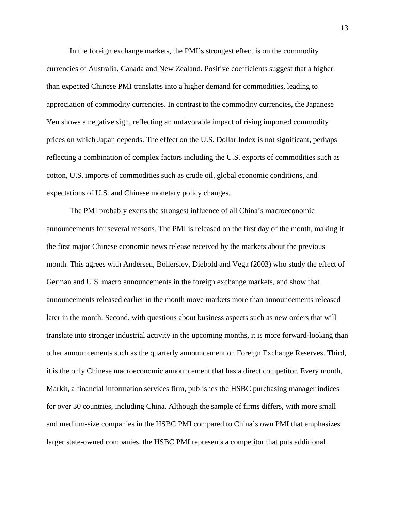In the foreign exchange markets, the PMI's strongest effect is on the commodity currencies of Australia, Canada and New Zealand. Positive coefficients suggest that a higher than expected Chinese PMI translates into a higher demand for commodities, leading to appreciation of commodity currencies. In contrast to the commodity currencies, the Japanese Yen shows a negative sign, reflecting an unfavorable impact of rising imported commodity prices on which Japan depends. The effect on the U.S. Dollar Index is not significant, perhaps reflecting a combination of complex factors including the U.S. exports of commodities such as cotton, U.S. imports of commodities such as crude oil, global economic conditions, and expectations of U.S. and Chinese monetary policy changes.

 The PMI probably exerts the strongest influence of all China's macroeconomic announcements for several reasons. The PMI is released on the first day of the month, making it the first major Chinese economic news release received by the markets about the previous month. This agrees with Andersen, Bollerslev, Diebold and Vega (2003) who study the effect of German and U.S. macro announcements in the foreign exchange markets, and show that announcements released earlier in the month move markets more than announcements released later in the month. Second, with questions about business aspects such as new orders that will translate into stronger industrial activity in the upcoming months, it is more forward-looking than other announcements such as the quarterly announcement on Foreign Exchange Reserves. Third, it is the only Chinese macroeconomic announcement that has a direct competitor. Every month, Markit, a financial information services firm, publishes the HSBC purchasing manager indices for over 30 countries, including China. Although the sample of firms differs, with more small and medium-size companies in the HSBC PMI compared to China's own PMI that emphasizes larger state-owned companies, the HSBC PMI represents a competitor that puts additional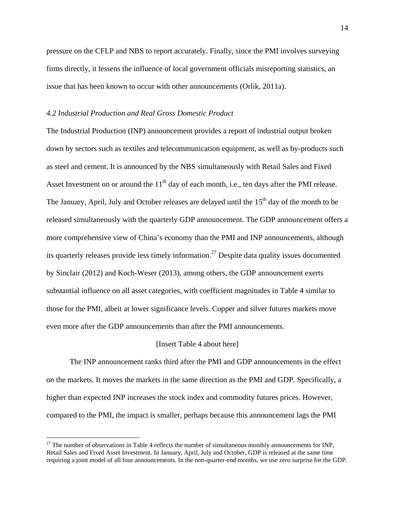pressure on the CFLP and NBS to report accurately. Finally, since the PMI involves surveying firms directly, it lessens the influence of local government officials misreporting statistics, an issue that has been known to occur with other announcements (Orlik, 2011a).

# *4.2 Industrial Production and Real Gross Domestic Product*

The Industrial Production (INP) announcement provides a report of industrial output broken down by sectors such as textiles and telecommunication equipment, as well as by-products such as steel and cement. It is announced by the NBS simultaneously with Retail Sales and Fixed Asset Investment on or around the  $11<sup>th</sup>$  day of each month, i.e., ten days after the PMI release. The January, April, July and October releases are delayed until the  $15<sup>th</sup>$  day of the month to be released simultaneously with the quarterly GDP announcement. The GDP announcement offers a more comprehensive view of China's economy than the PMI and INP announcements, although its quarterly releases provide less timely information.<sup>27</sup> Despite data quality issues documented by Sinclair (2012) and Koch-Weser (2013), among others, the GDP announcement exerts substantial influence on all asset categories, with coefficient magnitudes in Table 4 similar to those for the PMI, albeit at lower significance levels. Copper and silver futures markets move even more after the GDP announcements than after the PMI announcements.

# [Insert Table 4 about here]

 The INP announcement ranks third after the PMI and GDP announcements in the effect on the markets. It moves the markets in the same direction as the PMI and GDP. Specifically, a higher than expected INP increases the stock index and commodity futures prices. However, compared to the PMI, the impact is smaller, perhaps because this announcement lags the PMI

 $\overline{a}$ 

 $27$  The number of observations in Table 4 reflects the number of simultaneous monthly announcements for INP, Retail Sales and Fixed Asset Investment. In January, April, July and October, GDP is released at the same time requiring a joint model of all four announcements. In the non-quarter-end months, we use zero surprise for the GDP.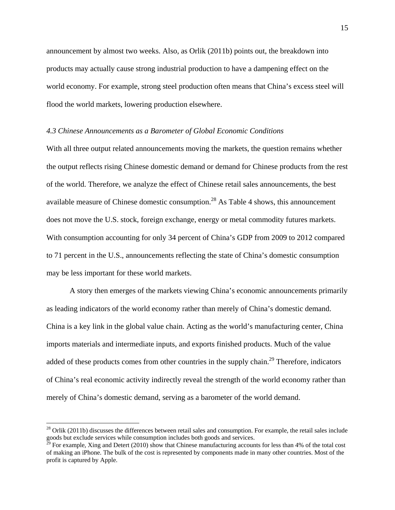announcement by almost two weeks. Also, as Orlik (2011b) points out, the breakdown into products may actually cause strong industrial production to have a dampening effect on the world economy. For example, strong steel production often means that China's excess steel will flood the world markets, lowering production elsewhere.

## *4.3 Chinese Announcements as a Barometer of Global Economic Conditions*

With all three output related announcements moving the markets, the question remains whether the output reflects rising Chinese domestic demand or demand for Chinese products from the rest of the world. Therefore, we analyze the effect of Chinese retail sales announcements, the best available measure of Chinese domestic consumption.<sup>28</sup> As Table 4 shows, this announcement does not move the U.S. stock, foreign exchange, energy or metal commodity futures markets. With consumption accounting for only 34 percent of China's GDP from 2009 to 2012 compared to 71 percent in the U.S., announcements reflecting the state of China's domestic consumption may be less important for these world markets.

A story then emerges of the markets viewing China's economic announcements primarily as leading indicators of the world economy rather than merely of China's domestic demand. China is a key link in the global value chain. Acting as the world's manufacturing center, China imports materials and intermediate inputs, and exports finished products. Much of the value added of these products comes from other countries in the supply chain.<sup>29</sup> Therefore, indicators of China's real economic activity indirectly reveal the strength of the world economy rather than merely of China's domestic demand, serving as a barometer of the world demand.

 $\overline{a}$ 

 $28$  Orlik (2011b) discusses the differences between retail sales and consumption. For example, the retail sales include goods but exclude services while consumption includes both goods and services.

 $^{29}$  For example, Xing and Detert (2010) show that Chinese manufacturing accounts for less than 4% of the total cost of making an iPhone. The bulk of the cost is represented by components made in many other countries. Most of the profit is captured by Apple.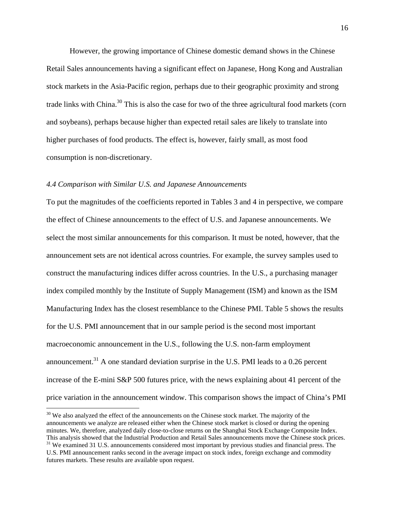However, the growing importance of Chinese domestic demand shows in the Chinese Retail Sales announcements having a significant effect on Japanese, Hong Kong and Australian stock markets in the Asia-Pacific region, perhaps due to their geographic proximity and strong trade links with China.<sup>30</sup> This is also the case for two of the three agricultural food markets (corn and soybeans), perhaps because higher than expected retail sales are likely to translate into higher purchases of food products. The effect is, however, fairly small, as most food consumption is non-discretionary.

#### *4.4 Comparison with Similar U.S. and Japanese Announcements*

 $\overline{a}$ 

To put the magnitudes of the coefficients reported in Tables 3 and 4 in perspective, we compare the effect of Chinese announcements to the effect of U.S. and Japanese announcements. We select the most similar announcements for this comparison. It must be noted, however, that the announcement sets are not identical across countries. For example, the survey samples used to construct the manufacturing indices differ across countries. In the U.S., a purchasing manager index compiled monthly by the Institute of Supply Management (ISM) and known as the ISM Manufacturing Index has the closest resemblance to the Chinese PMI. Table 5 shows the results for the U.S. PMI announcement that in our sample period is the second most important macroeconomic announcement in the U.S., following the U.S. non-farm employment announcement.<sup>31</sup> A one standard deviation surprise in the U.S. PMI leads to a 0.26 percent increase of the E-mini S&P 500 futures price, with the news explaining about 41 percent of the price variation in the announcement window. This comparison shows the impact of China's PMI

<sup>&</sup>lt;sup>30</sup> We also analyzed the effect of the announcements on the Chinese stock market. The majority of the announcements we analyze are released either when the Chinese stock market is closed or during the opening minutes. We, therefore, analyzed daily close-to-close returns on the Shanghai Stock Exchange Composite Index. This analysis showed that the Industrial Production and Retail Sales announcements move the Chinese stock prices. 31 We examined 31 U.S. announcements considered most important by previous studies and financial press. The U.S. PMI announcement ranks second in the average impact on stock index, foreign exchange and commodity futures markets. These results are available upon request.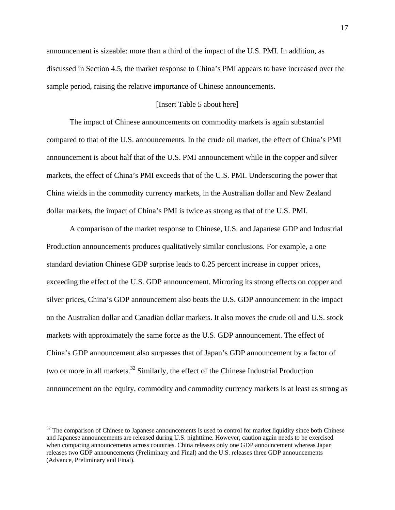announcement is sizeable: more than a third of the impact of the U.S. PMI. In addition, as discussed in Section 4.5, the market response to China's PMI appears to have increased over the sample period, raising the relative importance of Chinese announcements.

#### [Insert Table 5 about here]

 The impact of Chinese announcements on commodity markets is again substantial compared to that of the U.S. announcements. In the crude oil market, the effect of China's PMI announcement is about half that of the U.S. PMI announcement while in the copper and silver markets, the effect of China's PMI exceeds that of the U.S. PMI. Underscoring the power that China wields in the commodity currency markets, in the Australian dollar and New Zealand dollar markets, the impact of China's PMI is twice as strong as that of the U.S. PMI.

 A comparison of the market response to Chinese, U.S. and Japanese GDP and Industrial Production announcements produces qualitatively similar conclusions. For example, a one standard deviation Chinese GDP surprise leads to 0.25 percent increase in copper prices, exceeding the effect of the U.S. GDP announcement. Mirroring its strong effects on copper and silver prices, China's GDP announcement also beats the U.S. GDP announcement in the impact on the Australian dollar and Canadian dollar markets. It also moves the crude oil and U.S. stock markets with approximately the same force as the U.S. GDP announcement. The effect of China's GDP announcement also surpasses that of Japan's GDP announcement by a factor of two or more in all markets.<sup>32</sup> Similarly, the effect of the Chinese Industrial Production announcement on the equity, commodity and commodity currency markets is at least as strong as

 $\overline{a}$ 

 $32$  The comparison of Chinese to Japanese announcements is used to control for market liquidity since both Chinese and Japanese announcements are released during U.S. nighttime. However, caution again needs to be exercised when comparing announcements across countries. China releases only one GDP announcement whereas Japan releases two GDP announcements (Preliminary and Final) and the U.S. releases three GDP announcements (Advance, Preliminary and Final).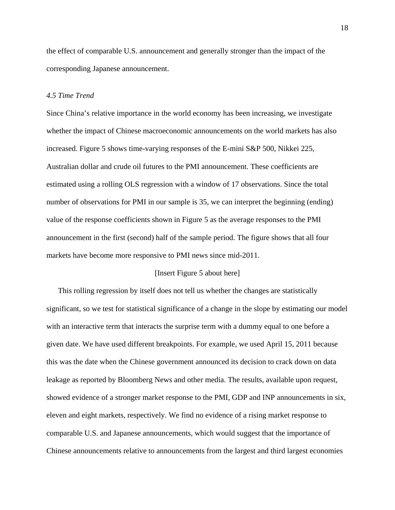the effect of comparable U.S. announcement and generally stronger than the impact of the corresponding Japanese announcement.

# *4.5 Time Trend*

Since China's relative importance in the world economy has been increasing, we investigate whether the impact of Chinese macroeconomic announcements on the world markets has also increased. Figure 5 shows time-varying responses of the E-mini S&P 500, Nikkei 225, Australian dollar and crude oil futures to the PMI announcement. These coefficients are estimated using a rolling OLS regression with a window of 17 observations. Since the total number of observations for PMI in our sample is 35, we can interpret the beginning (ending) value of the response coefficients shown in Figure 5 as the average responses to the PMI announcement in the first (second) half of the sample period. The figure shows that all four markets have become more responsive to PMI news since mid-2011.

# [Insert Figure 5 about here]

This rolling regression by itself does not tell us whether the changes are statistically significant, so we test for statistical significance of a change in the slope by estimating our model with an interactive term that interacts the surprise term with a dummy equal to one before a given date. We have used different breakpoints. For example, we used April 15, 2011 because this was the date when the Chinese government announced its decision to crack down on data leakage as reported by Bloomberg News and other media. The results, available upon request, showed evidence of a stronger market response to the PMI, GDP and INP announcements in six, eleven and eight markets, respectively. We find no evidence of a rising market response to comparable U.S. and Japanese announcements, which would suggest that the importance of Chinese announcements relative to announcements from the largest and third largest economies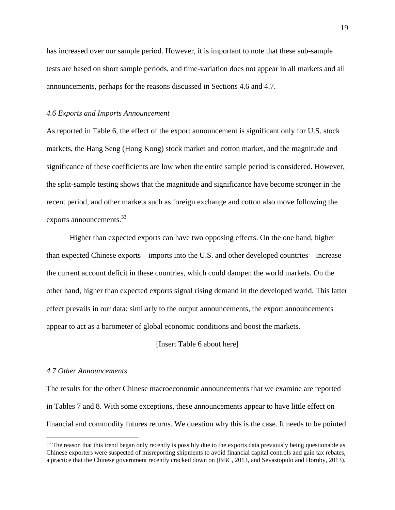has increased over our sample period. However, it is important to note that these sub-sample tests are based on short sample periods, and time-variation does not appear in all markets and all announcements, perhaps for the reasons discussed in Sections 4.6 and 4.7.

## *4.6 Exports and Imports Announcement*

As reported in Table 6, the effect of the export announcement is significant only for U.S. stock markets, the Hang Seng (Hong Kong) stock market and cotton market, and the magnitude and significance of these coefficients are low when the entire sample period is considered. However, the split-sample testing shows that the magnitude and significance have become stronger in the recent period, and other markets such as foreign exchange and cotton also move following the exports announcements.<sup>33</sup>

Higher than expected exports can have two opposing effects. On the one hand, higher than expected Chinese exports – imports into the U.S. and other developed countries – increase the current account deficit in these countries, which could dampen the world markets. On the other hand, higher than expected exports signal rising demand in the developed world. This latter effect prevails in our data: similarly to the output announcements, the export announcements appear to act as a barometer of global economic conditions and boost the markets.

[Insert Table 6 about here]

### *4.7 Other Announcements*

1

The results for the other Chinese macroeconomic announcements that we examine are reported in Tables 7 and 8. With some exceptions, these announcements appear to have little effect on financial and commodity futures returns. We question why this is the case. It needs to be pointed

<sup>&</sup>lt;sup>33</sup> The reason that this trend began only recently is possibly due to the exports data previously being questionable as Chinese exporters were suspected of misreporting shipments to avoid financial capital controls and gain tax rebates, a practice that the Chinese government recently cracked down on (BBC, 2013, and Sevastopulo and Hornby, 2013).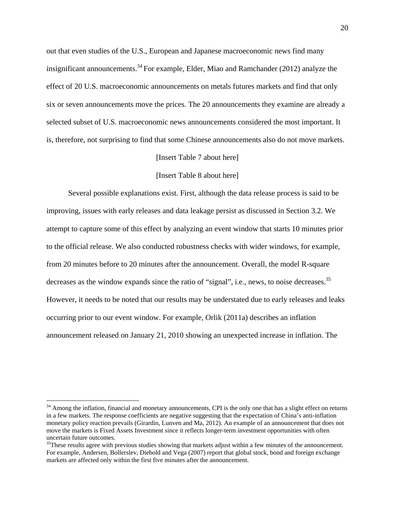out that even studies of the U.S., European and Japanese macroeconomic news find many insignificant announcements.<sup>34</sup> For example, Elder, Miao and Ramchander (2012) analyze the effect of 20 U.S. macroeconomic announcements on metals futures markets and find that only six or seven announcements move the prices. The 20 announcements they examine are already a selected subset of U.S. macroeconomic news announcements considered the most important. It is, therefore, not surprising to find that some Chinese announcements also do not move markets.

#### [Insert Table 7 about here]

#### [Insert Table 8 about here]

Several possible explanations exist. First, although the data release process is said to be improving, issues with early releases and data leakage persist as discussed in Section 3.2. We attempt to capture some of this effect by analyzing an event window that starts 10 minutes prior to the official release. We also conducted robustness checks with wider windows, for example, from 20 minutes before to 20 minutes after the announcement. Overall, the model R-square decreases as the window expands since the ratio of "signal", i.e., news, to noise decreases.<sup>35</sup> However, it needs to be noted that our results may be understated due to early releases and leaks occurring prior to our event window. For example, Orlik (2011a) describes an inflation announcement released on January 21, 2010 showing an unexpected increase in inflation. The

1

<sup>&</sup>lt;sup>34</sup> Among the inflation, financial and monetary announcements, CPI is the only one that has a slight effect on returns in a few markets. The response coefficients are negative suggesting that the expectation of China's anti-inflation monetary policy reaction prevails (Girardin, Lunven and Ma, 2012). An example of an announcement that does not move the markets is Fixed Assets Investment since it reflects longer-term investment opportunities with often uncertain future outcomes.

 $35$ These results agree with previous studies showing that markets adjust within a few minutes of the announcement. For example, Andersen, Bollerslev, Diebold and Vega (2007) report that global stock, bond and foreign exchange markets are affected only within the first five minutes after the announcement.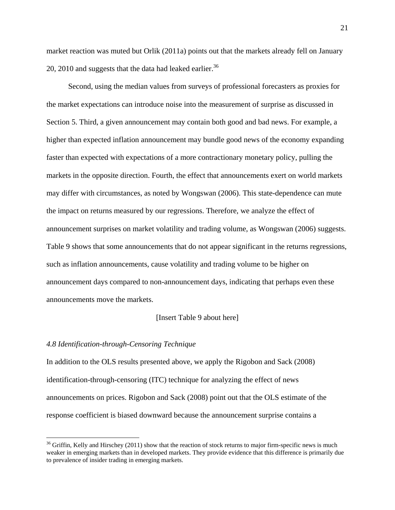market reaction was muted but Orlik (2011a) points out that the markets already fell on January 20, 2010 and suggests that the data had leaked earlier. $36$ 

Second, using the median values from surveys of professional forecasters as proxies for the market expectations can introduce noise into the measurement of surprise as discussed in Section 5. Third, a given announcement may contain both good and bad news. For example, a higher than expected inflation announcement may bundle good news of the economy expanding faster than expected with expectations of a more contractionary monetary policy, pulling the markets in the opposite direction. Fourth, the effect that announcements exert on world markets may differ with circumstances, as noted by Wongswan (2006). This state-dependence can mute the impact on returns measured by our regressions. Therefore, we analyze the effect of announcement surprises on market volatility and trading volume, as Wongswan (2006) suggests. Table 9 shows that some announcements that do not appear significant in the returns regressions, such as inflation announcements, cause volatility and trading volume to be higher on announcement days compared to non-announcement days, indicating that perhaps even these announcements move the markets.

#### [Insert Table 9 about here]

# *4.8 Identification-through-Censoring Technique*

 $\overline{a}$ 

In addition to the OLS results presented above, we apply the Rigobon and Sack (2008) identification-through-censoring (ITC) technique for analyzing the effect of news announcements on prices. Rigobon and Sack (2008) point out that the OLS estimate of the response coefficient is biased downward because the announcement surprise contains a

 $36$  Griffin, Kelly and Hirschey (2011) show that the reaction of stock returns to major firm-specific news is much weaker in emerging markets than in developed markets. They provide evidence that this difference is primarily due to prevalence of insider trading in emerging markets.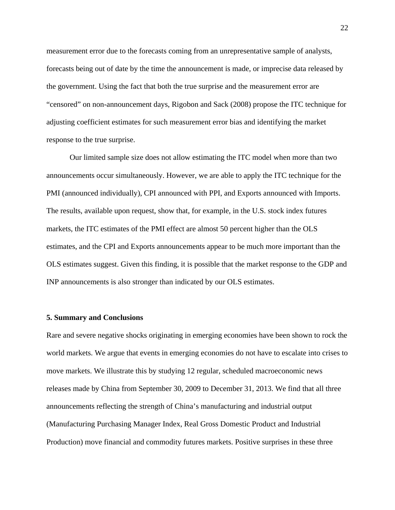measurement error due to the forecasts coming from an unrepresentative sample of analysts, forecasts being out of date by the time the announcement is made, or imprecise data released by the government. Using the fact that both the true surprise and the measurement error are "censored" on non-announcement days, Rigobon and Sack (2008) propose the ITC technique for adjusting coefficient estimates for such measurement error bias and identifying the market response to the true surprise.

Our limited sample size does not allow estimating the ITC model when more than two announcements occur simultaneously. However, we are able to apply the ITC technique for the PMI (announced individually), CPI announced with PPI, and Exports announced with Imports. The results, available upon request, show that, for example, in the U.S. stock index futures markets, the ITC estimates of the PMI effect are almost 50 percent higher than the OLS estimates, and the CPI and Exports announcements appear to be much more important than the OLS estimates suggest. Given this finding, it is possible that the market response to the GDP and INP announcements is also stronger than indicated by our OLS estimates.

#### **5. Summary and Conclusions**

Rare and severe negative shocks originating in emerging economies have been shown to rock the world markets. We argue that events in emerging economies do not have to escalate into crises to move markets. We illustrate this by studying 12 regular, scheduled macroeconomic news releases made by China from September 30, 2009 to December 31, 2013. We find that all three announcements reflecting the strength of China's manufacturing and industrial output (Manufacturing Purchasing Manager Index, Real Gross Domestic Product and Industrial Production) move financial and commodity futures markets. Positive surprises in these three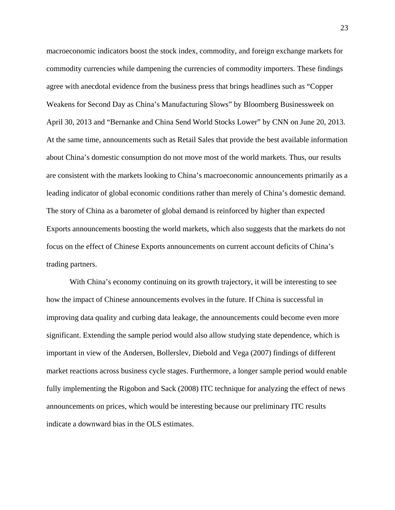macroeconomic indicators boost the stock index, commodity, and foreign exchange markets for commodity currencies while dampening the currencies of commodity importers. These findings agree with anecdotal evidence from the business press that brings headlines such as "Copper Weakens for Second Day as China's Manufacturing Slows" by Bloomberg Businessweek on April 30, 2013 and "Bernanke and China Send World Stocks Lower" by CNN on June 20, 2013. At the same time, announcements such as Retail Sales that provide the best available information about China's domestic consumption do not move most of the world markets. Thus, our results are consistent with the markets looking to China's macroeconomic announcements primarily as a leading indicator of global economic conditions rather than merely of China's domestic demand. The story of China as a barometer of global demand is reinforced by higher than expected Exports announcements boosting the world markets, which also suggests that the markets do not focus on the effect of Chinese Exports announcements on current account deficits of China's trading partners.

With China's economy continuing on its growth trajectory, it will be interesting to see how the impact of Chinese announcements evolves in the future. If China is successful in improving data quality and curbing data leakage, the announcements could become even more significant. Extending the sample period would also allow studying state dependence, which is important in view of the Andersen, Bollerslev, Diebold and Vega (2007) findings of different market reactions across business cycle stages. Furthermore, a longer sample period would enable fully implementing the Rigobon and Sack (2008) ITC technique for analyzing the effect of news announcements on prices, which would be interesting because our preliminary ITC results indicate a downward bias in the OLS estimates.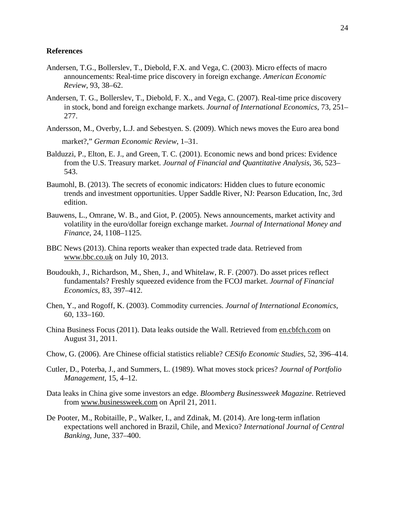#### **References**

- Andersen, T.G., Bollerslev, T., Diebold, F.X. and Vega, C. (2003). Micro effects of macro announcements: Real-time price discovery in foreign exchange. *American Economic Review*, 93, 38–62.
- Andersen, T. G., Bollerslev, T., Diebold, F. X., and Vega, C. (2007). Real-time price discovery in stock, bond and foreign exchange markets. *Journal of International Economics*, 73, 251– 277.
- Andersson, M., Overby, L.J. and Sebestyen. S. (2009). Which news moves the Euro area bond market?," *German Economic Review*, 1–31.
- Balduzzi, P., Elton, E. J., and Green, T. C. (2001). Economic news and bond prices: Evidence from the U.S. Treasury market. *Journal of Financial and Quantitative Analysis*, 36, 523– 543.
- Baumohl, B. (2013). The secrets of economic indicators: Hidden clues to future economic trends and investment opportunities. Upper Saddle River, NJ: Pearson Education, Inc, 3rd edition.
- Bauwens, L., Omrane, W. B., and Giot, P. (2005). News announcements, market activity and volatility in the euro/dollar foreign exchange market. *Journal of International Money and Finance*, 24, 1108–1125.
- BBC News (2013). China reports weaker than expected trade data. Retrieved from www.bbc.co.uk on July 10, 2013.
- Boudoukh, J., Richardson, M., Shen, J., and Whitelaw, R. F. (2007). Do asset prices reflect fundamentals? Freshly squeezed evidence from the FCOJ market. *Journal of Financial Economics*, 83, 397–412.
- Chen, Y., and Rogoff, K. (2003). Commodity currencies. *Journal of International Economics*, 60, 133–160.
- China Business Focus (2011). Data leaks outside the Wall. Retrieved from en.cbfch.com on August 31, 2011.
- Chow, G. (2006). Are Chinese official statistics reliable? *CESifo Economic Studies*, 52, 396–414.
- Cutler, D., Poterba, J., and Summers, L. (1989). What moves stock prices? *Journal of Portfolio Management*, 15, 4–12.
- Data leaks in China give some investors an edge. *Bloomberg Businessweek Magazine*. Retrieved from www.businessweek.com on April 21, 2011.
- De Pooter, M., Robitaille, P., Walker, I., and Zdinak, M. (2014). Are long-term inflation expectations well anchored in Brazil, Chile, and Mexico? *International Journal of Central Banking*, June, 337–400.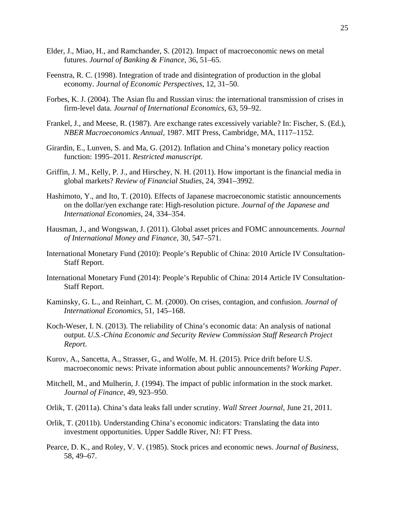- Elder, J., Miao, H., and Ramchander, S. (2012). Impact of macroeconomic news on metal futures. *Journal of Banking & Finance*, 36, 51–65.
- Feenstra, R. C. (1998). Integration of trade and disintegration of production in the global economy. *Journal of Economic Perspectives*, 12, 31–50.
- Forbes, K. J. (2004). The Asian flu and Russian virus: the international transmission of crises in firm-level data. *Journal of International Economics*, 63, 59–92.
- Frankel, J., and Meese, R. (1987). Are exchange rates excessively variable? In: Fischer, S. (Ed.), *NBER Macroeconomics Annual*, 1987. MIT Press, Cambridge, MA, 1117–1152.
- Girardin, E., Lunven, S. and Ma, G. (2012). Inflation and China's monetary policy reaction function: 1995–2011. *Restricted manuscript.*
- Griffin, J. M., Kelly, P. J., and Hirschey, N. H. (2011). How important is the financial media in global markets? *Review of Financial Studies*, 24, 3941–3992.
- Hashimoto, Y., and Ito, T. (2010). Effects of Japanese macroeconomic statistic announcements on the dollar/yen exchange rate: High-resolution picture. *Journal of the Japanese and International Economies*, 24, 334–354.
- Hausman, J., and Wongswan, J. (2011). Global asset prices and FOMC announcements. *Journal of International Money and Finance*, 30, 547–571.
- International Monetary Fund (2010): People's Republic of China: 2010 Article IV Consultation-Staff Report.
- International Monetary Fund (2014): People's Republic of China: 2014 Article IV Consultation-Staff Report.
- Kaminsky, G. L., and Reinhart, C. M. (2000). On crises, contagion, and confusion. *Journal of International Economics*, 51, 145–168.
- Koch-Weser, I. N. (2013). The reliability of China's economic data: An analysis of national output. *U.S.-China Economic and Security Review Commission Staff Research Project Report.*
- Kurov, A., Sancetta, A., Strasser, G., and Wolfe, M. H. (2015). Price drift before U.S. macroeconomic news: Private information about public announcements? *Working Paper*.
- Mitchell, M., and Mulherin, J. (1994). The impact of public information in the stock market. *Journal of Finance*, 49, 923–950.
- Orlik, T. (2011a). China's data leaks fall under scrutiny. *Wall Street Journal*, June 21, 2011.
- Orlik, T. (2011b). Understanding China's economic indicators: Translating the data into investment opportunities. Upper Saddle River, NJ: FT Press.
- Pearce, D. K., and Roley, V. V. (1985). Stock prices and economic news. *Journal of Business*, 58, 49–67.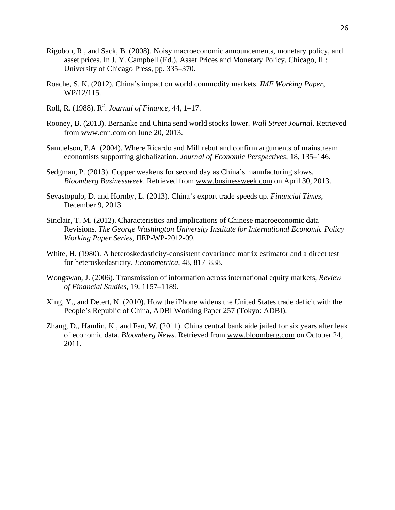- Rigobon, R., and Sack, B. (2008). Noisy macroeconomic announcements, monetary policy, and asset prices. In J. Y. Campbell (Ed.), Asset Prices and Monetary Policy. Chicago, IL: University of Chicago Press, pp. 335–370.
- Roache, S. K. (2012). China's impact on world commodity markets. *IMF Working Paper*, WP/12/115.
- Roll, R. (1988).  $R^2$ . *Journal of Finance*, 44, 1–17.
- Rooney, B. (2013). Bernanke and China send world stocks lower. *Wall Street Journal.* Retrieved from www.cnn.com on June 20, 2013.
- Samuelson, P.A. (2004). Where Ricardo and Mill rebut and confirm arguments of mainstream economists supporting globalization. *Journal of Economic Perspectives*, 18, 135–146.
- Sedgman, P. (2013). Copper weakens for second day as China's manufacturing slows, *Bloomberg Businessweek*. Retrieved from www.businessweek.com on April 30, 2013.
- Sevastopulo, D. and Hornby, L. (2013). China's export trade speeds up. *Financial Times*, December 9, 2013.
- Sinclair, T. M. (2012). Characteristics and implications of Chinese macroeconomic data Revisions. *The George Washington University Institute for International Economic Policy Working Paper Series*, IIEP-WP-2012-09.
- White, H. (1980). A heteroskedasticity-consistent covariance matrix estimator and a direct test for heteroskedasticity. *Econometrica*, 48, 817–838.
- Wongswan, J. (2006). Transmission of information across international equity markets, *Review of Financial Studies*, 19, 1157–1189.
- Xing, Y., and Detert, N. (2010). How the iPhone widens the United States trade deficit with the People's Republic of China, ADBI Working Paper 257 (Tokyo: ADBI).
- Zhang, D., Hamlin, K., and Fan, W. (2011). China central bank aide jailed for six years after leak of economic data. *Bloomberg News*. Retrieved from www.bloomberg.com on October 24, 2011.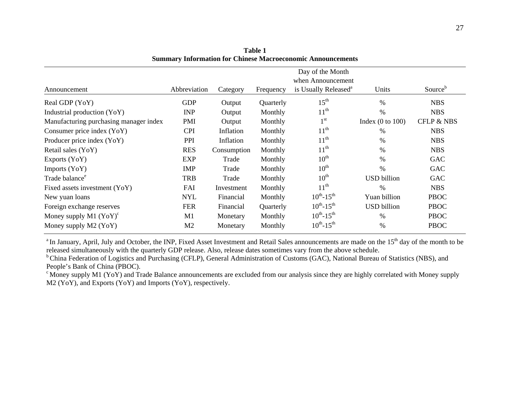|                |             |                          | Day of the Month    |                                                                    |                       |
|----------------|-------------|--------------------------|---------------------|--------------------------------------------------------------------|-----------------------|
|                |             |                          |                     |                                                                    |                       |
|                |             |                          |                     |                                                                    | Sourceb               |
| <b>GDP</b>     | Output      | Quarterly                | 15 <sup>th</sup>    | $\%$                                                               | <b>NBS</b>            |
| <b>INP</b>     | Output      | Monthly                  |                     | $\%$                                                               | <b>NBS</b>            |
| <b>PMI</b>     | Output      | Monthly                  | 1 <sup>st</sup>     | Index $(0 \text{ to } 100)$                                        | <b>CFLP &amp; NBS</b> |
| <b>CPI</b>     | Inflation   | Monthly                  | $11^{th}$           | $\%$                                                               | <b>NBS</b>            |
| PPI            | Inflation   | Monthly                  | $11^{th}$           | $\%$                                                               | <b>NBS</b>            |
| <b>RES</b>     | Consumption | Monthly                  | $11^{th}$           | $\%$                                                               | <b>NBS</b>            |
| <b>EXP</b>     | Trade       | Monthly                  | $10^{th}$           | $\%$                                                               | <b>GAC</b>            |
| <b>IMP</b>     | Trade       | Monthly                  | $10^{\text{th}}$    | $\%$                                                               | <b>GAC</b>            |
| <b>TRB</b>     | Trade       | Monthly                  | $10^{\text{th}}$    | <b>USD</b> billion                                                 | <b>GAC</b>            |
| FAI            | Investment  | Monthly                  | $11^{th}$           | $\%$                                                               | <b>NBS</b>            |
| <b>NYL</b>     | Financial   | Monthly                  | $10^{th} - 15^{th}$ | Yuan billion                                                       | <b>PBOC</b>           |
| <b>FER</b>     | Financial   | Quarterly                | $10^{th} - 15^{th}$ | <b>USD</b> billion                                                 | <b>PBOC</b>           |
| M1             | Monetary    | Monthly                  | $10^{th} - 15^{th}$ | $\%$                                                               | <b>PBOC</b>           |
| M <sub>2</sub> | Monetary    | Monthly                  | $10^{th} - 15^{th}$ | $\%$                                                               | <b>PBOC</b>           |
|                |             | Abbreviation<br>Category | Frequency           | when Announcement<br>is Usually Released <sup>a</sup><br>$11^{th}$ | Units                 |

**Table 1 Summary Information for Chinese Macroeconomic Announcements** 

<sup>a</sup> In January, April, July and October, the INP, Fixed Asset Investment and Retail Sales announcements are made on the 15<sup>th</sup> day of the month to be released simultaneously with the quarterly GDP release. Also, release dates sometimes vary from the above schedule.

<sup>b</sup> China Federation of Logistics and Purchasing (CFLP), General Administration of Customs (GAC), National Bureau of Statistics (NBS), and People's Bank of China (PBOC).

<sup>c</sup> Money supply M1 (YoY) and Trade Balance announcements are excluded from our analysis since they are highly correlated with Money supply M2 (YoY), and Exports (YoY) and Imports (YoY), respectively.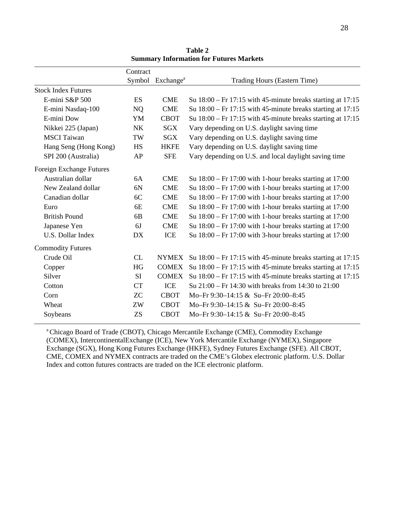|                            | Contract       |                              |                                                                   |
|----------------------------|----------------|------------------------------|-------------------------------------------------------------------|
|                            |                | Symbol Exchange <sup>a</sup> | Trading Hours (Eastern Time)                                      |
| <b>Stock Index Futures</b> |                |                              |                                                                   |
| E-mini $S\&P 500$          | <b>ES</b>      | <b>CME</b>                   | Su $18:00$ – Fr 17:15 with 45-minute breaks starting at 17:15     |
| E-mini Nasdaq-100          | <b>NQ</b>      | <b>CME</b>                   | Su $18:00$ – Fr 17:15 with 45-minute breaks starting at 17:15     |
| E-mini Dow                 | YM             | <b>CBOT</b>                  | Su $18:00$ – Fr 17:15 with 45-minute breaks starting at 17:15     |
| Nikkei 225 (Japan)         | <b>NK</b>      | <b>SGX</b>                   | Vary depending on U.S. daylight saving time                       |
| <b>MSCI</b> Taiwan         | TW             | <b>SGX</b>                   | Vary depending on U.S. daylight saving time                       |
| Hang Seng (Hong Kong)      | <b>HS</b>      | <b>HKFE</b>                  | Vary depending on U.S. daylight saving time                       |
| SPI 200 (Australia)        | AP             | <b>SFE</b>                   | Vary depending on U.S. and local daylight saving time             |
| Foreign Exchange Futures   |                |                              |                                                                   |
| Australian dollar          | 6A             | <b>CME</b>                   | Su $18:00$ – Fr 17:00 with 1-hour breaks starting at 17:00        |
| New Zealand dollar         | 6N             | <b>CME</b>                   | Su $18:00$ – Fr 17:00 with 1-hour breaks starting at 17:00        |
| Canadian dollar            | 6C             | CME                          | Su $18:00$ – Fr 17:00 with 1-hour breaks starting at 17:00        |
| Euro                       | 6E             | <b>CME</b>                   | Su $18:00$ – Fr 17:00 with 1-hour breaks starting at 17:00        |
| <b>British Pound</b>       | 6 <sub>B</sub> | <b>CME</b>                   | Su $18:00$ – Fr 17:00 with 1-hour breaks starting at 17:00        |
| Japanese Yen               | 6J             | <b>CME</b>                   | Su $18:00$ – Fr 17:00 with 1-hour breaks starting at 17:00        |
| <b>U.S. Dollar Index</b>   | <b>DX</b>      | ICE                          | Su $18:00$ – Fr 17:00 with 3-hour breaks starting at 17:00        |
| <b>Commodity Futures</b>   |                |                              |                                                                   |
| Crude Oil                  | CL             |                              | NYMEX Su 18:00 – Fr 17:15 with 45-minute breaks starting at 17:15 |
| Copper                     | HG             | <b>COMEX</b>                 | Su $18:00$ – Fr 17:15 with 45-minute breaks starting at 17:15     |
| Silver                     | <b>SI</b>      |                              | COMEX Su 18:00 – Fr 17:15 with 45-minute breaks starting at 17:15 |
| Cotton                     | <b>CT</b>      | <b>ICE</b>                   | Su 21:00 – Fr 14:30 with breaks from 14:30 to 21:00               |
| Corn                       | <b>ZC</b>      | <b>CBOT</b>                  | Mo-Fr 9:30-14:15 & Su-Fr 20:00-8:45                               |
| Wheat                      | ZW             | <b>CBOT</b>                  | Mo-Fr 9:30-14:15 & Su-Fr 20:00-8:45                               |
| Soybeans                   | <b>ZS</b>      | <b>CBOT</b>                  | Mo-Fr 9:30-14:15 & Su-Fr 20:00-8:45                               |

**Table 2 Summary Information for Futures Markets** 

<sup>a</sup> Chicago Board of Trade (CBOT), Chicago Mercantile Exchange (CME), Commodity Exchange (COMEX), IntercontinentalExchange (ICE), New York Mercantile Exchange (NYMEX), Singapore Exchange (SGX), Hong Kong Futures Exchange (HKFE), Sydney Futures Exchange (SFE). All CBOT, CME, COMEX and NYMEX contracts are traded on the CME's Globex electronic platform. U.S. Dollar Index and cotton futures contracts are traded on the ICE electronic platform.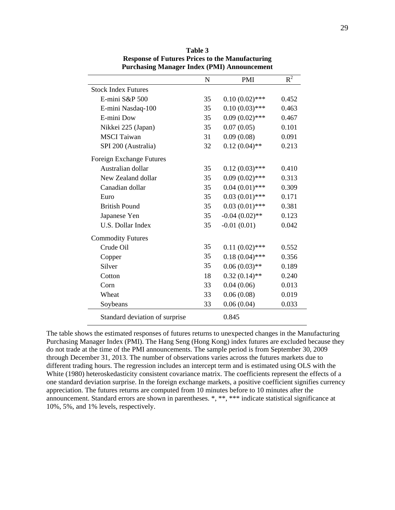|                                | N  | <b>PMI</b>       | $R^2$ |
|--------------------------------|----|------------------|-------|
| <b>Stock Index Futures</b>     |    |                  |       |
| E-mini S&P 500                 | 35 | $0.10(0.02)$ *** | 0.452 |
| E-mini Nasdaq-100              | 35 | $0.10(0.03)$ *** | 0.463 |
| E-mini Dow                     | 35 | $0.09(0.02)$ *** | 0.467 |
| Nikkei 225 (Japan)             | 35 | 0.07(0.05)       | 0.101 |
| <b>MSCI</b> Taiwan             | 31 | 0.09(0.08)       | 0.091 |
| SPI 200 (Australia)            | 32 | $0.12(0.04)$ **  | 0.213 |
| Foreign Exchange Futures       |    |                  |       |
| Australian dollar              | 35 | $0.12(0.03)$ *** | 0.410 |
| New Zealand dollar             | 35 | $0.09(0.02)$ *** | 0.313 |
| Canadian dollar                | 35 | $0.04(0.01)$ *** | 0.309 |
| Euro                           | 35 | $0.03(0.01)$ *** | 0.171 |
| <b>British Pound</b>           | 35 | $0.03(0.01)$ *** | 0.381 |
| Japanese Yen                   | 35 | $-0.04(0.02)$ ** | 0.123 |
| <b>U.S. Dollar Index</b>       | 35 | $-0.01(0.01)$    | 0.042 |
| <b>Commodity Futures</b>       |    |                  |       |
| Crude Oil                      | 35 | $0.11(0.02)$ *** | 0.552 |
| Copper                         | 35 | $0.18(0.04)$ *** | 0.356 |
| Silver                         | 35 | $0.06(0.03)$ **  | 0.189 |
| Cotton                         | 18 | $0.32(0.14)$ **  | 0.240 |
| Corn                           | 33 | 0.04(0.06)       | 0.013 |
| Wheat                          | 33 | 0.06(0.08)       | 0.019 |
| Soybeans                       | 33 | 0.06(0.04)       | 0.033 |
| Standard deviation of surprise |    | 0.845            |       |

**Table 3 Response of Futures Prices to the Manufacturing Purchasing Manager Index (PMI) Announcement** 

The table shows the estimated responses of futures returns to unexpected changes in the Manufacturing Purchasing Manager Index (PMI). The Hang Seng (Hong Kong) index futures are excluded because they do not trade at the time of the PMI announcements. The sample period is from September 30, 2009 through December 31, 2013. The number of observations varies across the futures markets due to different trading hours. The regression includes an intercept term and is estimated using OLS with the White (1980) heteroskedasticity consistent covariance matrix. The coefficients represent the effects of a one standard deviation surprise. In the foreign exchange markets, a positive coefficient signifies currency appreciation. The futures returns are computed from 10 minutes before to 10 minutes after the announcement. Standard errors are shown in parentheses. \*, \*\*, \*\*\* indicate statistical significance at 10%, 5%, and 1% levels, respectively.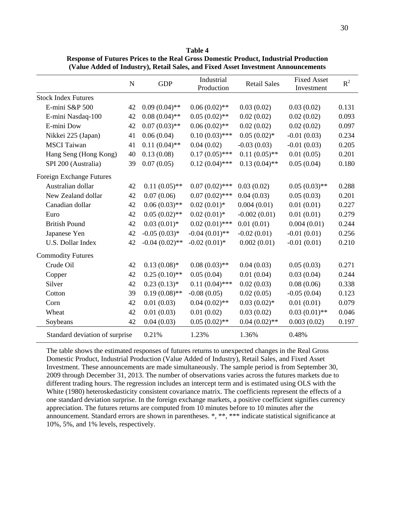|                                | $\mathbf N$ | <b>GDP</b>       | Industrial<br>Production | <b>Retail Sales</b> | <b>Fixed Asset</b><br>Investment | $R^2$ |
|--------------------------------|-------------|------------------|--------------------------|---------------------|----------------------------------|-------|
| <b>Stock Index Futures</b>     |             |                  |                          |                     |                                  |       |
| E-mini S&P 500                 | 42          | $0.09(0.04)$ **  | $0.06(0.02)$ **          | 0.03(0.02)          | 0.03(0.02)                       | 0.131 |
| E-mini Nasdaq-100              | 42          | $0.08(0.04)$ **  | $0.05(0.02)$ **          | 0.02(0.02)          | 0.02(0.02)                       | 0.093 |
| E-mini Dow                     | 42          | $0.07(0.03)$ **  | $0.06(0.02)$ **          | 0.02(0.02)          | 0.02(0.02)                       | 0.097 |
| Nikkei 225 (Japan)             | 41          | 0.06(0.04)       | $0.10(0.03)$ ***         | $0.05(0.02)*$       | $-0.01(0.03)$                    | 0.234 |
| <b>MSCI</b> Taiwan             | 41          | $0.11(0.04)$ **  | 0.04(0.02)               | $-0.03(0.03)$       | $-0.01(0.03)$                    | 0.205 |
| Hang Seng (Hong Kong)          | 40          | 0.13(0.08)       | $0.17(0.05)$ ***         | $0.11(0.05)$ **     | 0.01(0.05)                       | 0.201 |
| SPI 200 (Australia)            | 39          | 0.07(0.05)       | $0.12(0.04)$ ***         | $0.13(0.04)$ **     | 0.05(0.04)                       | 0.180 |
| Foreign Exchange Futures       |             |                  |                          |                     |                                  |       |
| Australian dollar              | 42          | $0.11(0.05)$ **  | $0.07(0.02)$ ***         | 0.03(0.02)          | $0.05(0.03)$ **                  | 0.288 |
| New Zealand dollar             | 42          | 0.07(0.06)       | $0.07(0.02)$ ***         | 0.04(0.03)          | 0.05(0.03)                       | 0.201 |
| Canadian dollar                | 42          | $0.06(0.03)$ **  | $0.02(0.01)*$            | 0.004(0.01)         | 0.01(0.01)                       | 0.227 |
| Euro                           | 42          | $0.05(0.02)$ **  | $0.02(0.01)*$            | $-0.002(0.01)$      | 0.01(0.01)                       | 0.279 |
| <b>British Pound</b>           | 42          | $0.03(0.01)*$    | $0.02(0.01)$ ***         | 0.01(0.01)          | 0.004(0.01)                      | 0.244 |
| Japanese Yen                   | 42          | $-0.05(0.03)*$   | $-0.04(0.01)$ **         | $-0.02(0.01)$       | $-0.01(0.01)$                    | 0.256 |
| U.S. Dollar Index              | 42          | $-0.04(0.02)$ ** | $-0.02(0.01)$ *          | 0.002(0.01)         | $-0.01(0.01)$                    | 0.210 |
| <b>Commodity Futures</b>       |             |                  |                          |                     |                                  |       |
| Crude Oil                      | 42          | $0.13(0.08)*$    | $0.08(0.03)$ **          | 0.04(0.03)          | 0.05(0.03)                       | 0.271 |
| Copper                         | 42          | $0.25(0.10)$ **  | 0.05(0.04)               | 0.01(0.04)          | 0.03(0.04)                       | 0.244 |
| Silver                         | 42          | $0.23(0.13)*$    | $0.11(0.04)$ ***         | 0.02(0.03)          | 0.08(0.06)                       | 0.338 |
| Cotton                         | 39          | $0.19(0.08)$ **  | $-0.08(0.05)$            | 0.02(0.05)          | $-0.05(0.04)$                    | 0.123 |
| Corn                           | 42          | 0.01(0.03)       | $0.04(0.02)$ **          | $0.03(0.02)*$       | 0.01(0.01)                       | 0.079 |
| Wheat                          | 42          | 0.01(0.03)       | 0.01(0.02)               | 0.03(0.02)          | $0.03(0.01)$ **                  | 0.046 |
| Soybeans                       | 42          | 0.04(0.03)       | $0.05(0.02)$ **          | $0.04(0.02)$ **     | 0.003(0.02)                      | 0.197 |
| Standard deviation of surprise |             | 0.21%            | 1.23%                    | 1.36%               | 0.48%                            |       |

**Table 4 Response of Futures Prices to the Real Gross Domestic Product, Industrial Production (Value Added of Industry), Retail Sales, and Fixed Asset Investment Announcements** 

The table shows the estimated responses of futures returns to unexpected changes in the Real Gross Domestic Product, Industrial Production (Value Added of Industry), Retail Sales, and Fixed Asset Investment. These announcements are made simultaneously. The sample period is from September 30, 2009 through December 31, 2013. The number of observations varies across the futures markets due to different trading hours. The regression includes an intercept term and is estimated using OLS with the White (1980) heteroskedasticity consistent covariance matrix. The coefficients represent the effects of a one standard deviation surprise. In the foreign exchange markets, a positive coefficient signifies currency appreciation. The futures returns are computed from 10 minutes before to 10 minutes after the announcement. Standard errors are shown in parentheses. \*, \*\*, \*\*\* indicate statistical significance at 10%, 5%, and 1% levels, respectively.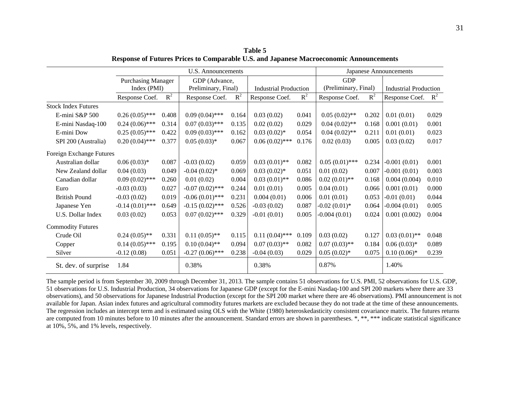|                            |                           | U.S. Announcements |                     |       |                              |       |                      | Japanese Announcements |                              |       |  |
|----------------------------|---------------------------|--------------------|---------------------|-------|------------------------------|-------|----------------------|------------------------|------------------------------|-------|--|
|                            | <b>Purchasing Manager</b> |                    | GDP (Advance,       |       |                              |       | <b>GDP</b>           |                        |                              |       |  |
|                            | Index (PMI)               |                    | Preliminary, Final) |       | <b>Industrial Production</b> |       | (Preliminary, Final) |                        | <b>Industrial Production</b> |       |  |
|                            | Response Coef.            | $R^2$              | Response Coef.      | $R^2$ | Response Coef.               | $R^2$ | Response Coef.       | $R^2$                  | Response Coef.               | $R^2$ |  |
| <b>Stock Index Futures</b> |                           |                    |                     |       |                              |       |                      |                        |                              |       |  |
| E-mini S&P 500             | $0.26(0.05)$ ***          | 0.408              | $0.09(0.04)$ ***    | 0.164 | 0.03(0.02)                   | 0.041 | $0.05(0.02)$ **      | 0.202                  | 0.01(0.01)                   | 0.029 |  |
| E-mini Nasdaq-100          | $0.24(0.06)$ ***          | 0.314              | $0.07(0.03)$ ***    | 0.135 | 0.02(0.02)                   | 0.029 | $0.04(0.02)$ **      | 0.168                  | 0.001(0.01)                  | 0.001 |  |
| E-mini Dow                 | $0.25(0.05)$ ***          | 0.422              | $0.09(0.03)$ ***    | 0.162 | $0.03(0.02)$ *               | 0.054 | $0.04(0.02)$ **      | 0.211                  | 0.01(0.01)                   | 0.023 |  |
| SPI 200 (Australia)        | $0.20(0.04)$ ***          | 0.377              | $0.05(0.03)*$       | 0.067 | $0.06(0.02)$ ***             | 0.176 | 0.02(0.03)           | 0.005                  | 0.03(0.02)                   | 0.017 |  |
| Foreign Exchange Futures   |                           |                    |                     |       |                              |       |                      |                        |                              |       |  |
| Australian dollar          | $0.06(0.03)*$             | 0.087              | $-0.03(0.02)$       | 0.059 | $0.03(0.01)$ **              | 0.082 | $0.05(0.01)$ ***     | 0.234                  | $-0.001(0.01)$               | 0.001 |  |
| New Zealand dollar         | 0.04(0.03)                | 0.049              | $-0.04(0.02)$ *     | 0.069 | $0.03(0.02)$ *               | 0.051 | 0.01(0.02)           | 0.007                  | $-0.001(0.01)$               | 0.003 |  |
| Canadian dollar            | $0.09(0.02)$ ***          | 0.260              | 0.01(0.02)          | 0.004 | $0.03(0.01)$ **              | 0.086 | $0.02(0.01)$ **      | 0.168                  | 0.004(0.004)                 | 0.010 |  |
| Euro                       | $-0.03(0.03)$             | 0.027              | $-0.07(0.02)$ ***   | 0.244 | 0.01(0.01)                   | 0.005 | 0.04(0.01)           | 0.066                  | 0.001(0.01)                  | 0.000 |  |
| <b>British Pound</b>       | $-0.03(0.02)$             | 0.019              | $-0.06(0.01)$ ***   | 0.231 | 0.004(0.01)                  | 0.006 | 0.01(0.01)           | 0.053                  | $-0.01(0.01)$                | 0.044 |  |
| Japanese Yen               | $-0.14(0.01)$ ***         | 0.649              | $-0.15(0.02)$ ***   | 0.526 | $-0.03(0.02)$                | 0.087 | $-0.02(0.01)$ *      | 0.064                  | $-0.004(0.01)$               | 0.005 |  |
| U.S. Dollar Index          | 0.03(0.02)                | 0.053              | $0.07(0.02)$ ***    | 0.329 | $-0.01(0.01)$                | 0.005 | $-0.004(0.01)$       | 0.024                  | 0.001(0.002)                 | 0.004 |  |
| <b>Commodity Futures</b>   |                           |                    |                     |       |                              |       |                      |                        |                              |       |  |
| Crude Oil                  | $0.24(0.05)$ **           | 0.331              | $0.11(0.05)$ **     | 0.115 | $0.11(0.04)$ ***             | 0.109 | 0.03(0.02)           | 0.127                  | $0.03(0.01)$ **              | 0.048 |  |
| Copper                     | $0.14(0.05)$ ***          | 0.195              | $0.10(0.04)$ **     | 0.094 | $0.07(0.03)$ **              | 0.082 | $0.07(0.03)$ **      | 0.184                  | $0.06(0.03)*$                | 0.089 |  |
| Silver                     | $-0.12(0.08)$             | 0.051              | $-0.27(0.06)$ ***   | 0.238 | $-0.04(0.03)$                | 0.029 | $0.05(0.02)$ *       | 0.075                  | $0.10(0.06)*$                | 0.239 |  |
| St. dev. of surprise       | 1.84                      |                    | 0.38%               |       | 0.38%                        |       | 0.87%                |                        | 1.40%                        |       |  |

**Table 5 Response of Futures Prices to Comparable U.S. and Japanese Macroeconomic Announcements** 

The sample period is from September 30, 2009 through December 31, 2013. The sample contains 51 observations for U.S. PMI, 52 observations for U.S. GDP, 51 observations for U.S. Industrial Production, 34 observations for Japanese GDP (except for the E-mini Nasdaq-100 and SPI 200 markets where there are 33 observations), and 50 observations for Japanese Industrial Production (except for the SPI 200 market where there are 46 observations). PMI announcement is not available for Japan. Asian index futures and agricultural commodity futures markets are excluded because they do not trade at the time of these announcements. The regression includes an intercept term and is estimated using OLS with the White (1980) heteroskedasticity consistent covariance matrix. The futures returns are computed from 10 minutes before to 10 minutes after the announcement. Standard errors are shown in parentheses. \*, \*\*, \*\*\* indicate statistical significance at 10%, 5%, and 1% levels, respectively.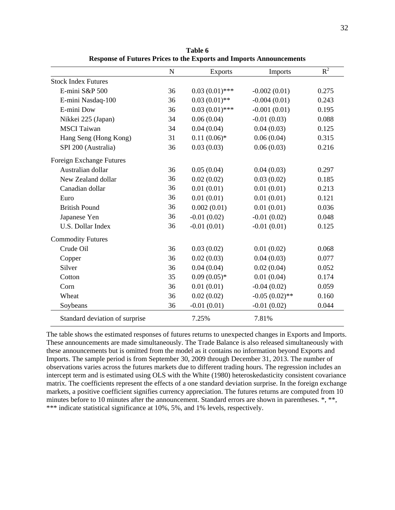|                                | ${\bf N}$ | <b>Exports</b>   | <b>Imports</b>   | $R^2$ |
|--------------------------------|-----------|------------------|------------------|-------|
| <b>Stock Index Futures</b>     |           |                  |                  |       |
| E-mini S&P 500                 | 36        | $0.03(0.01)$ *** | $-0.002(0.01)$   | 0.275 |
| E-mini Nasdaq-100              | 36        | $0.03(0.01)$ **  | $-0.004(0.01)$   | 0.243 |
| E-mini Dow                     | 36        | $0.03(0.01)$ *** | $-0.001(0.01)$   | 0.195 |
| Nikkei 225 (Japan)             | 34        | 0.06(0.04)       | $-0.01(0.03)$    | 0.088 |
| <b>MSCI</b> Taiwan             | 34        | 0.04(0.04)       | 0.04(0.03)       | 0.125 |
| Hang Seng (Hong Kong)          | 31        | $0.11(0.06)*$    | 0.06(0.04)       | 0.315 |
| SPI 200 (Australia)            | 36        | 0.03(0.03)       | 0.06(0.03)       | 0.216 |
| Foreign Exchange Futures       |           |                  |                  |       |
| Australian dollar              | 36        | 0.05(0.04)       | 0.04(0.03)       | 0.297 |
| New Zealand dollar             | 36        | 0.02(0.02)       | 0.03(0.02)       | 0.185 |
| Canadian dollar                | 36        | 0.01(0.01)       | 0.01(0.01)       | 0.213 |
| Euro                           | 36        | 0.01(0.01)       | 0.01(0.01)       | 0.121 |
| <b>British Pound</b>           | 36        | 0.002(0.01)      | 0.01(0.01)       | 0.036 |
| Japanese Yen                   | 36        | $-0.01(0.02)$    | $-0.01(0.02)$    | 0.048 |
| <b>U.S. Dollar Index</b>       | 36        | $-0.01(0.01)$    | $-0.01(0.01)$    | 0.125 |
| <b>Commodity Futures</b>       |           |                  |                  |       |
| Crude Oil                      | 36        | 0.03(0.02)       | 0.01(0.02)       | 0.068 |
| Copper                         | 36        | 0.02(0.03)       | 0.04(0.03)       | 0.077 |
| Silver                         | 36        | 0.04(0.04)       | 0.02(0.04)       | 0.052 |
| Cotton                         | 35        | $0.09(0.05)*$    | 0.01(0.04)       | 0.174 |
| Corn                           | 36        | 0.01(0.01)       | $-0.04(0.02)$    | 0.059 |
| Wheat                          | 36        | 0.02(0.02)       | $-0.05(0.02)$ ** | 0.160 |
| Soybeans                       | 36        | $-0.01(0.01)$    | $-0.01(0.02)$    | 0.044 |
| Standard deviation of surprise |           | 7.25%            | 7.81%            |       |

**Table 6 Response of Futures Prices to the Exports and Imports Announcements** 

The table shows the estimated responses of futures returns to unexpected changes in Exports and Imports. These announcements are made simultaneously. The Trade Balance is also released simultaneously with these announcements but is omitted from the model as it contains no information beyond Exports and Imports. The sample period is from September 30, 2009 through December 31, 2013. The number of observations varies across the futures markets due to different trading hours. The regression includes an intercept term and is estimated using OLS with the White (1980) heteroskedasticity consistent covariance matrix. The coefficients represent the effects of a one standard deviation surprise. In the foreign exchange markets, a positive coefficient signifies currency appreciation. The futures returns are computed from 10 minutes before to 10 minutes after the announcement. Standard errors are shown in parentheses. \*, \*\*, \*\*\* indicate statistical significance at 10%, 5%, and 1% levels, respectively.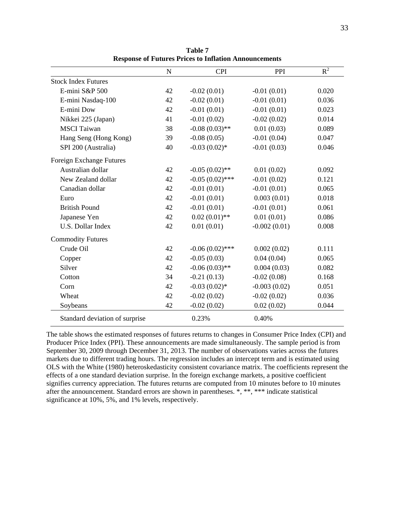|                                | $\mathbf N$ | <b>CPI</b>        | PPI            | $R^2$ |
|--------------------------------|-------------|-------------------|----------------|-------|
| <b>Stock Index Futures</b>     |             |                   |                |       |
| E-mini S&P 500                 | 42          | $-0.02(0.01)$     | $-0.01(0.01)$  | 0.020 |
| E-mini Nasdaq-100              | 42          | $-0.02(0.01)$     | $-0.01(0.01)$  | 0.036 |
| E-mini Dow                     | 42          | $-0.01(0.01)$     | $-0.01(0.01)$  | 0.023 |
| Nikkei 225 (Japan)             | 41          | $-0.01(0.02)$     | $-0.02(0.02)$  | 0.014 |
| <b>MSCI</b> Taiwan             | 38          | $-0.08(0.03)$ **  | 0.01(0.03)     | 0.089 |
| Hang Seng (Hong Kong)          | 39          | $-0.08(0.05)$     | $-0.01(0.04)$  | 0.047 |
| SPI 200 (Australia)            | 40          | $-0.03(0.02)$ *   | $-0.01(0.03)$  | 0.046 |
| Foreign Exchange Futures       |             |                   |                |       |
| Australian dollar              | 42          | $-0.05(0.02)$ **  | 0.01(0.02)     | 0.092 |
| New Zealand dollar             | 42          | $-0.05(0.02)$ *** | $-0.01(0.02)$  | 0.121 |
| Canadian dollar                | 42          | $-0.01(0.01)$     | $-0.01(0.01)$  | 0.065 |
| Euro                           | 42          | $-0.01(0.01)$     | 0.003(0.01)    | 0.018 |
| <b>British Pound</b>           | 42          | $-0.01(0.01)$     | $-0.01(0.01)$  | 0.061 |
| Japanese Yen                   | 42          | $0.02(0.01)$ **   | 0.01(0.01)     | 0.086 |
| <b>U.S. Dollar Index</b>       | 42          | 0.01(0.01)        | $-0.002(0.01)$ | 0.008 |
| <b>Commodity Futures</b>       |             |                   |                |       |
| Crude Oil                      | 42          | $-0.06(0.02)$ *** | 0.002(0.02)    | 0.111 |
| Copper                         | 42          | $-0.05(0.03)$     | 0.04(0.04)     | 0.065 |
| Silver                         | 42          | $-0.06(0.03)$ **  | 0.004(0.03)    | 0.082 |
| Cotton                         | 34          | $-0.21(0.13)$     | $-0.02(0.08)$  | 0.168 |
| Corn                           | 42          | $-0.03(0.02)$ *   | $-0.003(0.02)$ | 0.051 |
| Wheat                          | 42          | $-0.02(0.02)$     | $-0.02(0.02)$  | 0.036 |
| Soybeans                       | 42          | $-0.02(0.02)$     | 0.02(0.02)     | 0.044 |
| Standard deviation of surprise |             | 0.23%             | 0.40%          |       |

**Table 7 Response of Futures Prices to Inflation Announcements** 

The table shows the estimated responses of futures returns to changes in Consumer Price Index (CPI) and Producer Price Index (PPI). These announcements are made simultaneously. The sample period is from September 30, 2009 through December 31, 2013. The number of observations varies across the futures markets due to different trading hours. The regression includes an intercept term and is estimated using OLS with the White (1980) heteroskedasticity consistent covariance matrix. The coefficients represent the effects of a one standard deviation surprise. In the foreign exchange markets, a positive coefficient signifies currency appreciation. The futures returns are computed from 10 minutes before to 10 minutes after the announcement. Standard errors are shown in parentheses. \*, \*\*, \*\*\* indicate statistical significance at 10%, 5%, and 1% levels, respectively.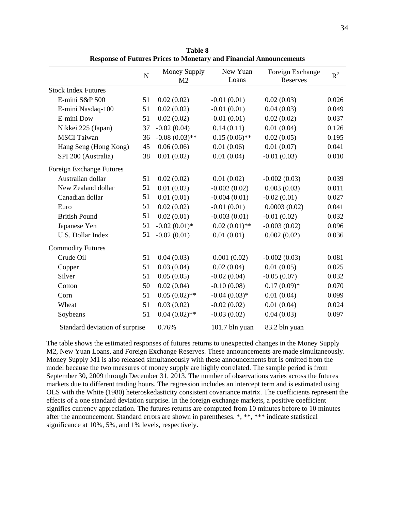|                                | $\mathbf N$ | Money Supply<br>M <sub>2</sub> | New Yuan<br>Loans | Foreign Exchange<br>Reserves | $R^2$ |
|--------------------------------|-------------|--------------------------------|-------------------|------------------------------|-------|
| <b>Stock Index Futures</b>     |             |                                |                   |                              |       |
| E-mini S&P 500                 | 51          | 0.02(0.02)                     | $-0.01(0.01)$     | 0.02(0.03)                   | 0.026 |
| E-mini Nasdaq-100              | 51          | 0.02(0.02)                     | $-0.01(0.01)$     | 0.04(0.03)                   | 0.049 |
| E-mini Dow                     | 51          | 0.02(0.02)                     | $-0.01(0.01)$     | 0.02(0.02)                   | 0.037 |
| Nikkei 225 (Japan)             | 37          | $-0.02(0.04)$                  | 0.14(0.11)        | 0.01(0.04)                   | 0.126 |
| <b>MSCI</b> Taiwan             | 36          | $-0.08(0.03)$ **               | $0.15(0.06)$ **   | 0.02(0.05)                   | 0.195 |
| Hang Seng (Hong Kong)          | 45          | 0.06(0.06)                     | 0.01(0.06)        | 0.01(0.07)                   | 0.041 |
| SPI 200 (Australia)            | 38          | 0.01(0.02)                     | 0.01(0.04)        | $-0.01(0.03)$                | 0.010 |
| Foreign Exchange Futures       |             |                                |                   |                              |       |
| Australian dollar              | 51          | 0.02(0.02)                     | 0.01(0.02)        | $-0.002(0.03)$               | 0.039 |
| New Zealand dollar             | 51          | 0.01(0.02)                     | $-0.002(0.02)$    | 0.003(0.03)                  | 0.011 |
| Canadian dollar                | 51          | 0.01(0.01)                     | $-0.004(0.01)$    | $-0.02(0.01)$                | 0.027 |
| Euro                           | 51          | 0.02(0.02)                     | $-0.01(0.01)$     | 0.0003(0.02)                 | 0.041 |
| <b>British Pound</b>           | 51          | 0.02(0.01)                     | $-0.003(0.01)$    | $-0.01(0.02)$                | 0.032 |
| Japanese Yen                   | 51          | $-0.02(0.01)$ *                | $0.02(0.01)$ **   | $-0.003(0.02)$               | 0.096 |
| U.S. Dollar Index              | 51          | $-0.02(0.01)$                  | 0.01(0.01)        | 0.002(0.02)                  | 0.036 |
| <b>Commodity Futures</b>       |             |                                |                   |                              |       |
| Crude Oil                      | 51          | 0.04(0.03)                     | 0.001(0.02)       | $-0.002(0.03)$               | 0.081 |
| Copper                         | 51          | 0.03(0.04)                     | 0.02(0.04)        | 0.01(0.05)                   | 0.025 |
| Silver                         | 51          | 0.05(0.05)                     | $-0.02(0.04)$     | $-0.05(0.07)$                | 0.032 |
| Cotton                         | 50          | 0.02(0.04)                     | $-0.10(0.08)$     | $0.17(0.09)*$                | 0.070 |
| Corn                           | 51          | $0.05(0.02)$ **                | $-0.04(0.03)*$    | 0.01(0.04)                   | 0.099 |
| Wheat                          | 51          | 0.03(0.02)                     | $-0.02(0.02)$     | 0.01(0.04)                   | 0.024 |
| Soybeans                       | 51          | $0.04(0.02)$ **                | $-0.03(0.02)$     | 0.04(0.03)                   | 0.097 |
| Standard deviation of surprise |             | 0.76%                          | 101.7 bln yuan    | 83.2 bln yuan                |       |

**Table 8 Response of Futures Prices to Monetary and Financial Announcements** 

The table shows the estimated responses of futures returns to unexpected changes in the Money Supply M2, New Yuan Loans, and Foreign Exchange Reserves. These announcements are made simultaneously. Money Supply M1 is also released simultaneously with these announcements but is omitted from the model because the two measures of money supply are highly correlated. The sample period is from September 30, 2009 through December 31, 2013. The number of observations varies across the futures markets due to different trading hours. The regression includes an intercept term and is estimated using OLS with the White (1980) heteroskedasticity consistent covariance matrix. The coefficients represent the effects of a one standard deviation surprise. In the foreign exchange markets, a positive coefficient signifies currency appreciation. The futures returns are computed from 10 minutes before to 10 minutes after the announcement. Standard errors are shown in parentheses. \*, \*\*, \*\*\* indicate statistical significance at 10%, 5%, and 1% levels, respectively.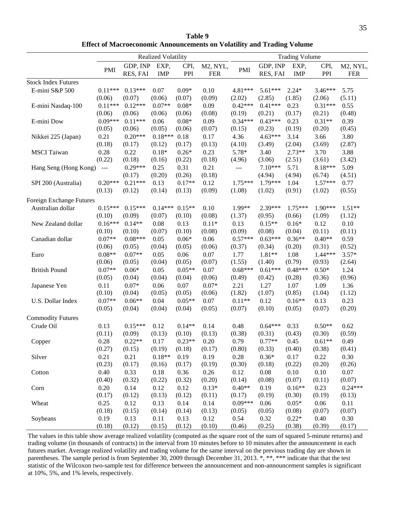|                            | <b>Realized Volatility</b> |           |            |                       |            | <b>Trading Volume</b> |           |            |           |            |
|----------------------------|----------------------------|-----------|------------|-----------------------|------------|-----------------------|-----------|------------|-----------|------------|
|                            |                            | GDP, INP  | EXP,       | CPI,                  | M2, NYL,   |                       | GDP, INP  | EXP,       | CPI,      | M2, NYL,   |
|                            | <b>PMI</b>                 | RES, FAI  | <b>IMP</b> | PPI                   | <b>FER</b> | PMI                   | RES, FAI  | <b>IMP</b> | PPI       | <b>FER</b> |
| <b>Stock Index Futures</b> |                            |           |            |                       |            |                       |           |            |           |            |
| E-mini S&P 500             | $0.11***$                  | $0.13***$ | 0.07       | $0.09*$               | 0.10       | 4.81***               | 5.61***   | $2.24*$    | 3.46***   | 5.75       |
|                            | (0.06)                     | (0.07)    | (0.06)     | (0.07)                | (0.09)     | (2.02)                | (2.85)    | (1.85)     | (2.06)    | (5.11)     |
| E-mini Nasdaq-100          | $0.11***$                  | $0.12***$ | $0.07**$   | $0.08*$               | 0.09       | $0.42***$             | $0.41***$ | 0.23       | $0.31***$ | 0.55       |
|                            | (0.06)                     | (0.06)    | (0.06)     | (0.06)                | (0.08)     | (0.19)                | (0.21)    | (0.17)     | (0.21)    | (0.48)     |
| E-mini Dow                 | $0.09***$                  | $0.11***$ | 0.06       | $0.08\ensuremath{^*}$ | 0.09       | $0.34***$             | $0.43***$ | 0.23       | $0.31**$  | 0.39       |
|                            | (0.05)                     | (0.06)    | (0.05)     | (0.06)                | (0.07)     | (0.15)                | (0.23)    | (0.19)     | (0.20)    | (0.45)     |
| Nikkei 225 (Japan)         | 0.21                       | $0.20***$ | $0.18***$  | 0.18                  | 0.17       | 4.36                  | $4.63***$ | 3.14       | 3.66      | 3.80       |
|                            | (0.18)                     | (0.17)    | (0.12)     | (0.17)                | (0.13)     | (4.10)                | (3.49)    | (2.04)     | (3.69)    | (2.87)     |
| <b>MSCI</b> Taiwan         | 0.28                       | 0.22      | $0.18*$    | $0.26*$               | 0.23       | 5.78*                 | 3.40      | $2.73**$   | 3.70      | 3.88       |
|                            | (0.22)                     | (0.18)    | (0.16)     | (0.22)                | (0.18)     | (4.96)                | (3.06)    | (2.51)     | (3.61)    | (3.42)     |
| Hang Seng (Hong Kong)      | $---$                      | $0.29***$ | 0.25       | 0.31                  | 0.21       | $\cdots$              | $7.10***$ | 5.71       | 8.18***   | 5.09       |
|                            |                            | (0.17)    | (0.20)     | (0.26)                | (0.18)     |                       | (4.94)    | (4.94)     | (6.74)    | (4.51)     |
| SPI 200 (Australia)        | $0.20***$                  | $0.21***$ | 0.13       | $0.17**$              | 0.12       | 1.75***               | $1.79***$ | 1.04       | $1.57***$ | 0.77       |
|                            | (0.13)                     | (0.12)    | (0.14)     | (0.13)                | (0.09)     | (1.08)                | (1.02)    | (0.91)     | (1.02)    | (0.55)     |
| Foreign Exchange Futures   |                            |           |            |                       |            |                       |           |            |           |            |
| Australian dollar          | $0.15***$                  | $0.15***$ | $0.14***$  | $0.15**$              | 0.10       | 1.99**                | 2.39***   | $1.75***$  | 1.90***   | $1.51**$   |
|                            | (0.10)                     | (0.09)    | (0.07)     | (0.10)                | (0.08)     | (1.37)                | (0.95)    | (0.66)     | (1.09)    | (1.12)     |
| New Zealand dollar         | $0.16***$                  | $0.14**$  | 0.08       | 0.13                  | $0.11*$    | 0.13                  | $0.15**$  | $0.16*$    | 0.12      | $0.10\,$   |
|                            | (0.10)                     | (0.10)    | (0.07)     | (0.10)                | (0.08)     | (0.09)                | (0.08)    | (0.04)     | (0.11)    | (0.11)     |
| Canadian dollar            | $0.07**$                   | $0.08***$ | 0.05       | $0.06*$               | 0.06       | $0.57***$             | $0.63***$ | $0.36**$   | $0.40**$  | 0.59       |
|                            | (0.06)                     | (0.05)    | (0.04)     | (0.05)                | (0.06)     | (0.37)                | (0.34)    | (0.20)     | (0.31)    | (0.52)     |
| Euro                       | $0.08**$                   | $0.07**$  | 0.05       | 0.06                  | 0.07       | 1.77                  | $1.81**$  | 1.08       | 1.44 ***  | $3.57*$    |
|                            | (0.06)                     | (0.05)    | (0.04)     | (0.05)                | (0.07)     | (1.55)                | (1.40)    | (0.79)     | (0.93)    | (2.64)     |
| <b>British Pound</b>       | $0.07**$                   | $0.06*$   | 0.05       | $0.05**$              | 0.07       | $0.68***$             | $0.61***$ | $0.48***$  | $0.50*$   | 1.24       |
|                            | (0.05)                     | (0.04)    | (0.04)     | (0.04)                | (0.06)     | (0.49)                | (0.42)    | (0.28)     | (0.36)    | (0.96)     |
| Japanese Yen               | 0.11                       | $0.07*$   | 0.06       | 0.07                  | $0.07*$    | 2.21                  | 1.27      | 1.07       | 1.09      | 1.36       |
|                            | (0.10)                     | (0.04)    | (0.05)     | (0.05)                | (0.06)     | (1.82)                | (1.07)    | (0.85)     | (1.04)    | (1.12)     |
| U.S. Dollar Index          | $0.07**$                   | $0.06**$  | 0.04       | $0.05**$              | 0.07       | $0.11**$              | 0.12      | $0.16**$   | 0.13      | 0.23       |
|                            | (0.05)                     | (0.04)    | (0.04)     | (0.04)                | (0.05)     | (0.07)                | (0.10)    | (0.05)     | (0.07)    | (0.20)     |
| <b>Commodity Futures</b>   |                            |           |            |                       |            |                       |           |            |           |            |
| Crude Oil                  | 0.13                       | $0.15***$ | 0.12       | $0.14**$              | 0.14       | 0.48                  | $0.64***$ | 0.33       | $0.50**$  | 0.62       |
|                            | (0.11)                     | (0.09)    | (0.13)     | (0.10)                | (0.13)     | (0.38)                | (0.31)    | (0.43)     | (0.30)    | (0.59)     |
| Copper                     | $0.28\,$                   | $0.22**$  | 0.17       | $0.23**$ 0.20         |            | 0.79                  | $0.77**$  | 0.45       | $0.61**$  | 0.49       |
|                            | (0.27)                     | (0.15)    | (0.19)     | (0.18)                | (0.17)     | (0.80)                | (0.33)    | (0.40)     | (0.38)    | (0.41)     |
| Silver                     | 0.21                       | 0.21      | $0.18**$   | 0.19                  | 0.19       | $0.28\,$              | $0.36*$   | 0.17       | 0.22      | $0.30\,$   |
|                            | (0.23)                     | (0.17)    | (0.16)     | (0.17)                | (0.19)     | (0.30)                | (0.18)    | (0.22)     | (0.20)    | (0.26)     |
| Cotton                     | 0.40                       | 0.33      | 0.18       | 0.36                  | 0.26       | 0.12                  | $0.08\,$  | 0.10       | 0.10      | $0.07\,$   |
|                            | (0.40)                     | (0.32)    | (0.22)     | (0.32)                | (0.20)     | (0.14)                | (0.08)    | (0.07)     | (0.11)    | (0.07)     |
| Corn                       | 0.20                       | 0.14      | 0.12       | 0.12                  | $0.13*$    | $0.40**$              | 0.19      | $0.16**$   | 0.23      | $0.24***$  |
|                            | (0.17)                     | (0.12)    | (0.13)     | (0.12)                | (0.11)     | (0.17)                | (0.19)    | (0.30)     | (0.19)    | (0.13)     |
| Wheat                      | 0.25                       | 0.12      | 0.13       | 0.14                  | 0.14       | $0.09***$             | 0.06      | $0.05*$    | 0.06      | 0.11       |
|                            | (0.18)                     | (0.15)    | (0.14)     | (0.14)                | (0.13)     | (0.05)                | (0.05)    | (0.08)     | (0.07)    | (0.07)     |
| Soybeans                   | 0.19                       | 0.13      | 0.11       | 0.13                  | 0.12       | 0.54                  | 0.32      | $0.22*$    | 0.40      | $0.30\,$   |
|                            | (0.18)                     | (0.12)    | (0.15)     | (0.12)                | (0.10)     | (0.46)                | (0.25)    | (0.38)     | (0.39)    | (0.17)     |

**Table 9 Effect of Macroeconomic Announcements on Volatility and Trading Volume** 

The values in this table show average realized volatility (computed as the square root of the sum of squared 5-minute returns) and trading volume (in thousands of contracts) in the interval from 10 minutes before to 10 minutes after the announcement in each futures market. Average realized volatility and trading volume for the same interval on the previous trading day are shown in parentheses. The sample period is from September 30, 2009 through December 31, 2013. \*, \*\*, \*\*\* indicate that that the test statistic of the Wilcoxon two-sample test for difference between the announcement and non-announcement samples is significant at 10%, 5%, and 1% levels, respectively.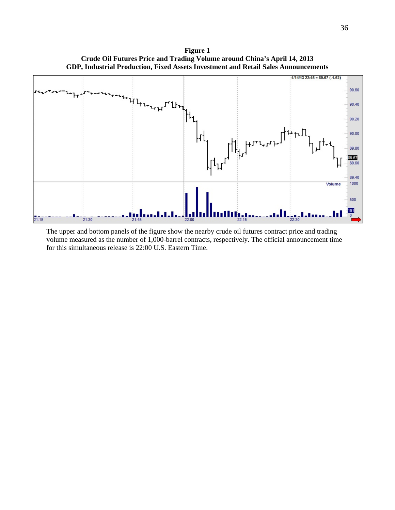**Figure 1 Crude Oil Futures Price and Trading Volume around China's April 14, 2013 GDP, Industrial Production, Fixed Assets Investment and Retail Sales Announcements** 



The upper and bottom panels of the figure show the nearby crude oil futures contract price and trading volume measured as the number of 1,000-barrel contracts, respectively. The official announcement time for this simultaneous release is 22:00 U.S. Eastern Time.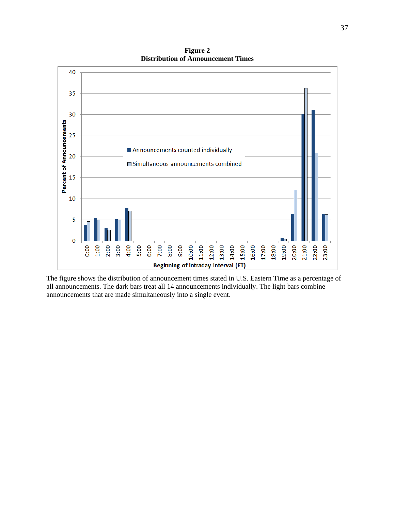40 35 30 Percent of Announcements 25 Announcements counted individually 20 □ Simultaneous announcements combined 15 10 5  $\bf{0}$  $3:00$ 4:00 5:00 18:00 19:00 20:00 21:00 22:00 23:00 0:00  $1:00$ 2:00 6:00 7:00 8:00 9:00 10:00 11:00 12:00 13:00 14:00 15:00 16:00 17:00 Beginning of intraday interval (ET)

**Figure 2 Distribution of Announcement Times**

The figure shows the distribution of announcement times stated in U.S. Eastern Time as a percentage of all announcements. The dark bars treat all 14 announcements individually. The light bars combine announcements that are made simultaneously into a single event.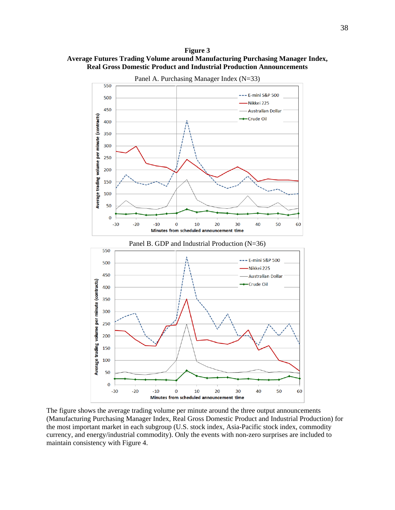**Figure 3 Average Futures Trading Volume around Manufacturing Purchasing Manager Index, Real Gross Domestic Product and Industrial Production Announcements** 



The figure shows the average trading volume per minute around the three output announcements (Manufacturing Purchasing Manager Index, Real Gross Domestic Product and Industrial Production) for the most important market in each subgroup (U.S. stock index, Asia-Pacific stock index, commodity currency, and energy/industrial commodity). Only the events with non-zero surprises are included to maintain consistency with Figure 4.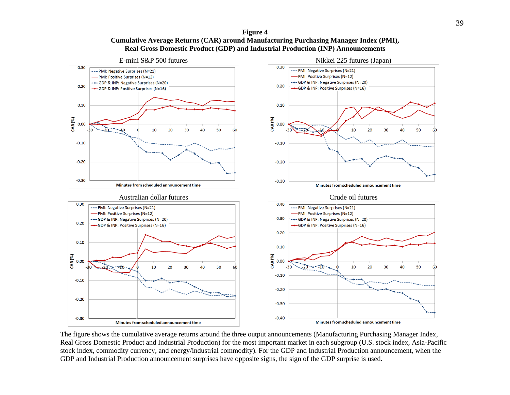## **Figure 4 Cumulative Average Returns (CAR) around Manufacturing Purchasing Manager Index (PMI), Real Gross Domestic Product (GDP) and Industrial Production (INP) Announcements**



The figure shows the cumulative average returns around the three output announcements (Manufacturing Purchasing Manager Index, Real Gross Domestic Product and Industrial Production) for the most important market in each subgroup (U.S. stock index, Asia-Pacific stock index, commodity currency, and energy/industrial commodity). For the GDP and Industrial Production announcement, when the GDP and Industrial Production announcement surprises have opposite signs, the sign of the GDP surprise is used.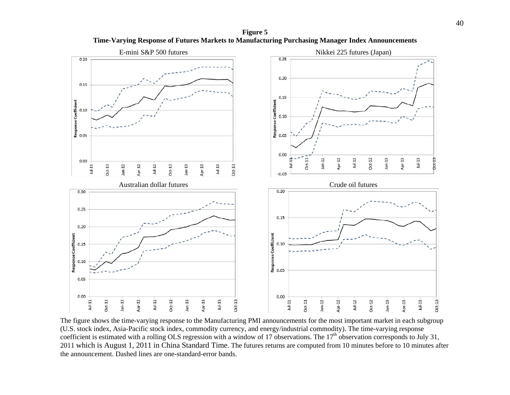**Figure 5 Time-Varying Response of Futures Markets to Manufacturing Purchasing Manager Index Announcements** 



The figure shows the time-varying response to the Manufacturing PMI announcements for the most important market in each subgroup (U.S. stock index, Asia-Pacific stock index, commodity currency, and energy/industrial commodity). The time-varying response coefficient is estimated with a rolling OLS regression with a window of 17 observations. The 17<sup>th</sup> observation corresponds to July 31, 2011 which is August 1, 2011 in China Standard Time. The futures returns are computed from 10 minutes before to 10 minutes after the announcement. Dashed lines are one-standard-error bands.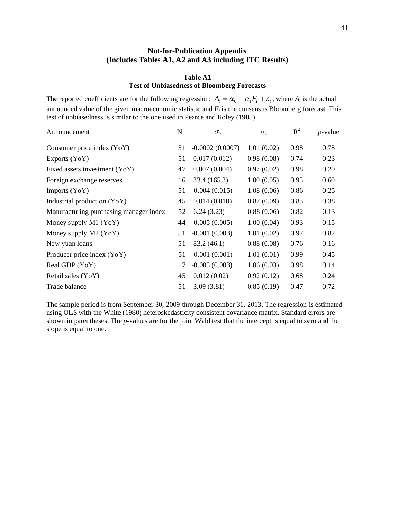# **Not-for-Publication Appendix (Includes Tables A1, A2 and A3 including ITC Results)**

### **Table A1 Test of Unbiasedness of Bloomberg Forecasts**

The reported coefficients are for the following regression:  $A_t = \alpha_0 + \alpha_1 F_t + \varepsilon_t$ , where  $A_t$  is the actual announced value of the given macroeconomic statistic and  $F_t$  is the consensus Bloomberg forecast. This test of unbiasedness is similar to the one used in Pearce and Roley (1985).

| Announcement                           | $\mathbf N$ | $\alpha_{0}$      | $\alpha_1$ | $R^2$ | $p$ -value |
|----------------------------------------|-------------|-------------------|------------|-------|------------|
| Consumer price index (YoY)             | 51          | $-0.0002(0.0007)$ | 1.01(0.02) | 0.98  | 0.78       |
| Exports (YoY)                          | 51          | 0.017(0.012)      | 0.98(0.08) | 0.74  | 0.23       |
| Fixed assets investment (YoY)          | 47          | 0.007(0.004)      | 0.97(0.02) | 0.98  | 0.20       |
| Foreign exchange reserves              | 16          | 33.4 (165.3)      | 1.00(0.05) | 0.95  | 0.60       |
| Imports (YoY)                          | 51          | $-0.004(0.015)$   | 1.08(0.06) | 0.86  | 0.25       |
| Industrial production (YoY)            | 45          | 0.014(0.010)      | 0.87(0.09) | 0.83  | 0.38       |
| Manufacturing purchasing manager index | 52          | 6.24(3.23)        | 0.88(0.06) | 0.82  | 0.13       |
| Money supply M1 (YoY)                  | 44          | $-0.005(0.005)$   | 1.00(0.04) | 0.93  | 0.15       |
| Money supply M2 (YoY)                  | 51          | $-0.001(0.003)$   | 1.01(0.02) | 0.97  | 0.82       |
| New yuan loans                         | 51          | 83.2(46.1)        | 0.88(0.08) | 0.76  | 0.16       |
| Producer price index (YoY)             | 51          | $-0.001(0.001)$   | 1.01(0.01) | 0.99  | 0.45       |
| Real GDP (YoY)                         | 17          | $-0.005(0.003)$   | 1.06(0.03) | 0.98  | 0.14       |
| Retail sales (YoY)                     | 45          | 0.012(0.02)       | 0.92(0.12) | 0.68  | 0.24       |
| Trade balance                          | 51          | 3.09(3.81)        | 0.85(0.19) | 0.47  | 0.72       |

The sample period is from September 30, 2009 through December 31, 2013. The regression is estimated using OLS with the White (1980) heteroskedasticity consistent covariance matrix. Standard errors are shown in parentheses. The *p*-values are for the joint Wald test that the intercept is equal to zero and the slope is equal to one.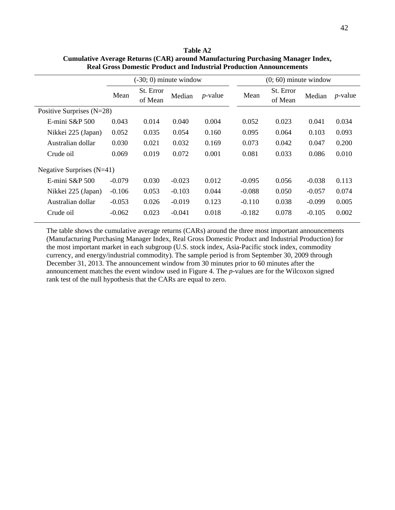|                             |          | $(-30; 0)$ minute window |                      |       | $(0, 60)$ minute window |                      |          |       |  |
|-----------------------------|----------|--------------------------|----------------------|-------|-------------------------|----------------------|----------|-------|--|
|                             | Mean     | St. Error<br>of Mean     | $p$ -value<br>Median |       | Mean                    | St. Error<br>of Mean | Median   |       |  |
| Positive Surprises $(N=28)$ |          |                          |                      |       |                         |                      |          |       |  |
| E-mini $S\&P 500$           | 0.043    | 0.014                    | 0.040                | 0.004 | 0.052                   | 0.023                | 0.041    | 0.034 |  |
| Nikkei 225 (Japan)          | 0.052    | 0.035                    | 0.054                | 0.160 | 0.095                   | 0.064                | 0.103    | 0.093 |  |
| Australian dollar           | 0.030    | 0.021                    | 0.032                | 0.169 | 0.073                   | 0.042                | 0.047    | 0.200 |  |
| Crude oil                   | 0.069    | 0.019                    | 0.072                | 0.001 | 0.081                   | 0.033                | 0.086    | 0.010 |  |
| Negative Surprises $(N=41)$ |          |                          |                      |       |                         |                      |          |       |  |
| E-mini S&P 500              | $-0.079$ | 0.030                    | $-0.023$             | 0.012 | $-0.095$                | 0.056                | $-0.038$ | 0.113 |  |
| Nikkei 225 (Japan)          | $-0.106$ | 0.053                    | $-0.103$             | 0.044 | $-0.088$                | 0.050                | $-0.057$ | 0.074 |  |
| Australian dollar           | $-0.053$ | 0.026                    | $-0.019$             | 0.123 | $-0.110$                | 0.038                | $-0.099$ | 0.005 |  |
| Crude oil                   | $-0.062$ | 0.023                    | $-0.041$             | 0.018 | $-0.182$                | 0.078                | $-0.105$ | 0.002 |  |

**Table A2 Cumulative Average Returns (CAR) around Manufacturing Purchasing Manager Index, Real Gross Domestic Product and Industrial Production Announcements** 

The table shows the cumulative average returns (CARs) around the three most important announcements (Manufacturing Purchasing Manager Index, Real Gross Domestic Product and Industrial Production) for the most important market in each subgroup (U.S. stock index, Asia-Pacific stock index, commodity currency, and energy/industrial commodity). The sample period is from September 30, 2009 through December 31, 2013. The announcement window from 30 minutes prior to 60 minutes after the announcement matches the event window used in Figure 4. The *p*-values are for the Wilcoxon signed rank test of the null hypothesis that the CARs are equal to zero.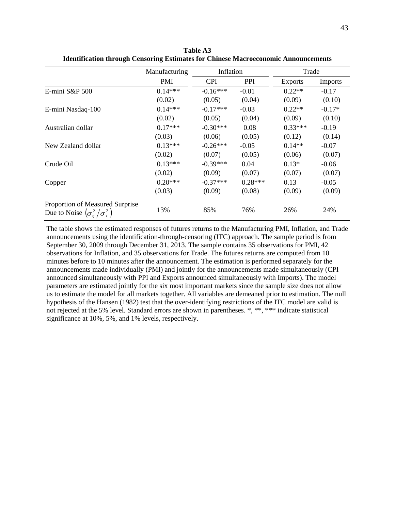|                                                                                           | Manufacturing | Inflation  |           | Trade          |          |  |
|-------------------------------------------------------------------------------------------|---------------|------------|-----------|----------------|----------|--|
|                                                                                           | PMI           | <b>CPI</b> | PPI       | <b>Exports</b> | Imports  |  |
| E-mini $S\&P 500$                                                                         | $0.14***$     | $-0.16***$ | $-0.01$   | $0.22**$       | $-0.17$  |  |
|                                                                                           | (0.02)        | (0.05)     | (0.04)    | (0.09)         | (0.10)   |  |
| E-mini Nasdaq-100                                                                         | $0.14***$     | $-0.17***$ | $-0.03$   | $0.22**$       | $-0.17*$ |  |
|                                                                                           | (0.02)        | (0.05)     | (0.04)    | (0.09)         | (0.10)   |  |
| Australian dollar                                                                         | $0.17***$     | $-0.30***$ | 0.08      | $0.33***$      | $-0.19$  |  |
|                                                                                           | (0.03)        | (0.06)     | (0.05)    | (0.12)         | (0.14)   |  |
| New Zealand dollar                                                                        | $0.13***$     | $-0.26***$ | $-0.05$   | $0.14**$       | $-0.07$  |  |
|                                                                                           | (0.02)        | (0.07)     | (0.05)    | (0.06)         | (0.07)   |  |
| Crude Oil                                                                                 | $0.13***$     | $-0.39***$ | 0.04      | $0.13*$        | $-0.06$  |  |
|                                                                                           | (0.02)        | (0.09)     | (0.07)    | (0.07)         | (0.07)   |  |
| Copper                                                                                    | $0.20***$     | $-0.37***$ | $0.28***$ | 0.13           | $-0.05$  |  |
|                                                                                           | (0.03)        | (0.09)     | (0.08)    | (0.09)         | (0.09)   |  |
| Proportion of Measured Surprise<br>Due to Noise $\left(\sigma_{\eta}^2/\sigma_z^2\right)$ | 13%           | 85%        | 76%       | 26%            | 24%      |  |

**Table A3 Identification through Censoring Estimates for Chinese Macroeconomic Announcements** 

The table shows the estimated responses of futures returns to the Manufacturing PMI, Inflation, and Trade announcements using the identification-through-censoring (ITC) approach. The sample period is from September 30, 2009 through December 31, 2013. The sample contains 35 observations for PMI, 42 observations for Inflation, and 35 observations for Trade. The futures returns are computed from 10 minutes before to 10 minutes after the announcement. The estimation is performed separately for the announcements made individually (PMI) and jointly for the announcements made simultaneously (CPI announced simultaneously with PPI and Exports announced simultaneously with Imports). The model parameters are estimated jointly for the six most important markets since the sample size does not allow us to estimate the model for all markets together. All variables are demeaned prior to estimation. The null hypothesis of the Hansen (1982) test that the over-identifying restrictions of the ITC model are valid is not rejected at the 5% level. Standard errors are shown in parentheses. \*, \*\*, \*\*\* indicate statistical significance at 10%, 5%, and 1% levels, respectively.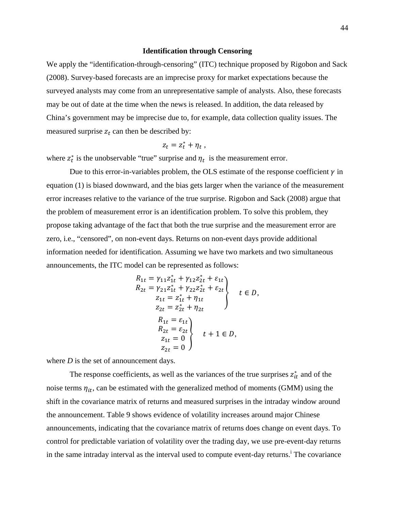### **Identification through Censoring**

We apply the "identification-through-censoring" (ITC) technique proposed by Rigobon and Sack (2008). Survey-based forecasts are an imprecise proxy for market expectations because the surveyed analysts may come from an unrepresentative sample of analysts. Also, these forecasts may be out of date at the time when the news is released. In addition, the data released by China's government may be imprecise due to, for example, data collection quality issues. The measured surprise  $z_t$  can then be described by:

$$
z_t = z_t^* + \eta_t ,
$$

where  $z_t^*$  is the unobservable "true" surprise and  $\eta_t$  is the measurement error.

Due to this error-in-variables problem, the OLS estimate of the response coefficient  $\gamma$  in equation (1) is biased downward, and the bias gets larger when the variance of the measurement error increases relative to the variance of the true surprise. Rigobon and Sack (2008) argue that the problem of measurement error is an identification problem. To solve this problem, they propose taking advantage of the fact that both the true surprise and the measurement error are zero, i.e., "censored", on non-event days. Returns on non-event days provide additional information needed for identification. Assuming we have two markets and two simultaneous announcements, the ITC model can be represented as follows:

$$
R_{1t} = \gamma_{11} z_{1t}^{*} + \gamma_{12} z_{2t}^{*} + \varepsilon_{1t}
$$
  
\n
$$
R_{2t} = \gamma_{21} z_{1t}^{*} + \gamma_{22} z_{2t}^{*} + \varepsilon_{2t}
$$
  
\n
$$
z_{1t} = z_{1t}^{*} + \eta_{1t}
$$
  
\n
$$
z_{2t} = z_{2t}^{*} + \eta_{2t}
$$
  
\n
$$
R_{1t} = \varepsilon_{1t}
$$
  
\n
$$
R_{2t} = \varepsilon_{2t}
$$
  
\n
$$
z_{1t} = 0
$$
  
\n
$$
z_{2t} = 0
$$
  
\n
$$
t + 1 \in D,
$$

where *D* is the set of announcement days.

The response coefficients, as well as the variances of the true surprises  $z_{it}^{*}$  and of the noise terms  $\eta_{it}$ , can be estimated with the generalized method of moments (GMM) using the shift in the covariance matrix of returns and measured surprises in the intraday window around the announcement. Table 9 shows evidence of volatility increases around major Chinese announcements, indicating that the covariance matrix of returns does change on event days. To control for predictable variation of volatility over the trading day, we use pre-event-day returns in the same intraday interval as the interval used to compute event-day returns.<sup>i</sup> The covariance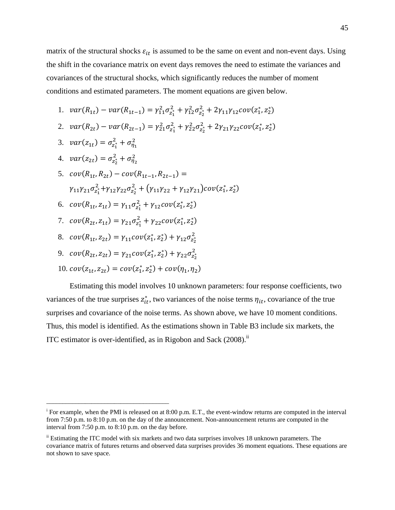matrix of the structural shocks  $\varepsilon_{it}$  is assumed to be the same on event and non-event days. Using the shift in the covariance matrix on event days removes the need to estimate the variances and covariances of the structural shocks, which significantly reduces the number of moment conditions and estimated parameters. The moment equations are given below.

- 1.  $var(R_{1t}) var(R_{1t-1}) = \gamma_{11}^2 \sigma_{z_1}^2 + \gamma_{12}^2 \sigma_{z_2}^2 + 2\gamma_{11}\gamma_{12}cov(z_1^*, z_2^*)$
- 2.  $var(R_{2t}) var(R_{2t-1}) = \gamma_{21}^2 \sigma_{z_1}^2 + \gamma_{22}^2 \sigma_{z_2}^2 + 2\gamma_{21}\gamma_{22}cov(z_1^*, z_2^*)$
- 3.  $var(z_{1t}) = \sigma_{z_1}^2 + \sigma_{\eta_1}^2$
- 4.  $var(z_{2t}) = \sigma_{z_2}^2 + \sigma_{\eta_2}^2$
- 5.  $cov(R_{1t}, R_{2t}) cov(R_{1t-1}, R_{2t-1}) =$  $\gamma_{11}\gamma_{21}\sigma_{z_1}^2 + \gamma_{12}\gamma_{22}\sigma_{z_2}^2 + (\gamma_{11}\gamma_{22} + \gamma_{12}\gamma_{21})cov(z_1^*,z_2^*)$
- 6.  $cov(R_{1t}, z_{1t}) = \gamma_{11} \sigma_{z_1}^2 + \gamma_{12} cov(z_1^*, z_2^*)$
- 7.  $cov(R_{2t}, z_{1t}) = \gamma_{21} \sigma_{z_1}^2 + \gamma_{22} cov(z_1^*, z_2^*)$
- 8.  $cov(R_{1t}, z_{2t}) = \gamma_{11} cov(z_1^*, z_2^*) + \gamma_{12} \sigma_{z_2^*}^2$
- 9.  $cov(R_{2t}, z_{2t}) = \gamma_{21} cov(z_1^*, z_2^*) + \gamma_{22} \sigma_{z_2^*}^2$
- 10.  $cov(z_{1t}, z_{2t}) = cov(z_1^*, z_2^*) + cov(\eta_1, \eta_2)$

\_\_\_\_\_\_\_\_\_\_\_\_\_\_\_\_\_\_\_\_\_\_\_\_\_\_\_\_\_\_\_\_\_\_\_\_\_\_

Estimating this model involves 10 unknown parameters: four response coefficients, two variances of the true surprises  $z_{it}^*$ , two variances of the noise terms  $\eta_{it}$ , covariance of the true surprises and covariance of the noise terms. As shown above, we have 10 moment conditions. Thus, this model is identified. As the estimations shown in Table B3 include six markets, the ITC estimator is over-identified, as in Rigobon and Sack  $(2008)^{11}$ 

<sup>&</sup>lt;sup>i</sup> For example, when the PMI is released on at 8:00 p.m. E.T., the event-window returns are computed in the interval from 7:50 p.m. to 8:10 p.m. on the day of the announcement. Non-announcement returns are computed in the interval from 7:50 p.m. to 8:10 p.m. on the day before.

ii Estimating the ITC model with six markets and two data surprises involves 18 unknown parameters. The covariance matrix of futures returns and observed data surprises provides 36 moment equations. These equations are not shown to save space.